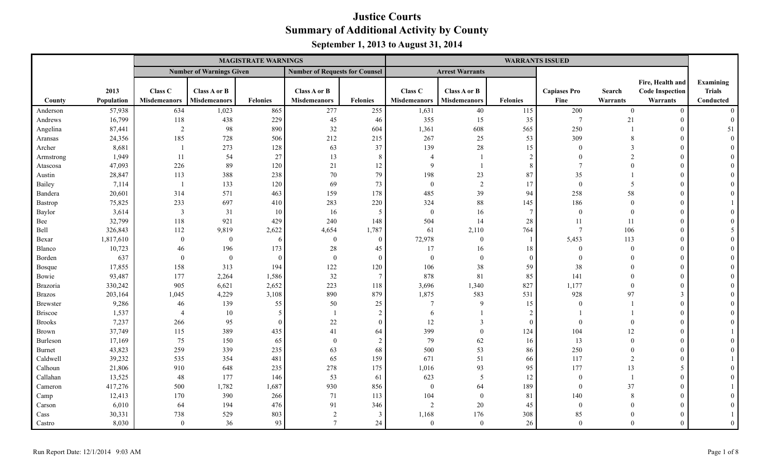|                 |            |                     |                                 | <b>MAGISTRATE WARNINGS</b> |                                       |                 |                     |                        |                 | <b>WARRANTS ISSUED</b> |                |                        |                |
|-----------------|------------|---------------------|---------------------------------|----------------------------|---------------------------------------|-----------------|---------------------|------------------------|-----------------|------------------------|----------------|------------------------|----------------|
|                 |            |                     | <b>Number of Warnings Given</b> |                            | <b>Number of Requests for Counsel</b> |                 |                     | <b>Arrest Warrants</b> |                 |                        |                |                        |                |
|                 |            |                     |                                 |                            |                                       |                 |                     |                        |                 |                        |                | Fire, Health and       | Examining      |
|                 | 2013       | Class C             | Class A or B                    |                            | Class A or B                          |                 | Class C             | Class A or B           |                 | <b>Capiases Pro</b>    | Search         | <b>Code Inspection</b> | <b>Trials</b>  |
| County          | Population | <b>Misdemeanors</b> | <b>Misdemeanors</b>             | <b>Felonies</b>            | <b>Misdemeanors</b>                   | <b>Felonies</b> | <b>Misdemeanors</b> | <b>Misdemeanors</b>    | <b>Felonies</b> | Fine                   | Warrants       | Warrants               | Conducted      |
| Anderson        | 57,938     | 634                 | 1,023                           | 865                        | 277                                   | 255             | 1,631               | 40                     | 115             | 200                    | $\mathbf{0}$   | $\overline{0}$         | $\theta$       |
| Andrews         | 16,799     | 118                 | 438                             | 229                        | 45                                    | 46              | 355                 | 15                     | 35              | $7\phantom{.0}$        | 21             | $\overline{0}$         | $\mathbf{0}$   |
| Angelina        | 87,441     | $\overline{2}$      | 98                              | 890                        | 32                                    | 604             | 1,361               | 608                    | 565             | 250                    |                | $\overline{0}$         | 51             |
| Aransas         | 24,356     | 185                 | 728                             | 506                        | 212                                   | 215             | 267                 | 25                     | 53              | 309                    | 8              | $\overline{0}$         | $\Omega$       |
| Archer          | 8,681      |                     | 273                             | 128                        | 63                                    | 37              | 139                 | $28\,$                 | 15              | $\theta$               | 3              | $\mathbf{0}$           |                |
| Armstrong       | 1,949      | 11                  | 54                              | 27                         | 13                                    | 8               | $\overline{4}$      | -1                     | 2               | $\theta$               | $\mathcal{D}$  | $\overline{0}$         |                |
| Atascosa        | 47,093     | 226                 | 89                              | 120                        | 21                                    | 12              | 9                   |                        | 8               | $\overline{7}$         | $\Omega$       | $\overline{0}$         |                |
| Austin          | 28,847     | 113                 | 388                             | 238                        | 70                                    | 79              | 198                 | 23                     | 87              | 35                     |                | $\Omega$               |                |
| Bailey          | 7,114      | -1                  | 133                             | 120                        | 69                                    | 73              | $\mathbf{0}$        | 2                      | 17              | $\bf{0}$               | 5              | $\overline{0}$         |                |
| Bandera         | 20,601     | 314                 | 571                             | 463                        | 159                                   | 178             | 485                 | 39                     | 94              | 258                    | 58             | $\boldsymbol{0}$       |                |
| Bastrop         | 75,825     | 233                 | 697                             | 410                        | 283                                   | 220             | 324                 | $88\,$                 | 145             | 186                    | $\mathbf{0}$   | $\boldsymbol{0}$       |                |
| Baylor          | 3,614      | $\mathfrak{Z}$      | 31                              | 10                         | 16                                    | 5               | $\mathbf{0}$        | 16                     | $\overline{7}$  | $\overline{0}$         | $\overline{0}$ | $\overline{0}$         |                |
| Bee             | 32,799     | 118                 | 921                             | 429                        | 240                                   | 148             | 504                 | 14                     | 28              | 11                     | 11             | $\overline{0}$         |                |
| Bell            | 326,843    | 112                 | 9,819                           | 2,622                      | 4,654                                 | 1,787           | 61                  | 2,110                  | 764             | $7\phantom{.0}$        | 106            | $\overline{0}$         |                |
| Bexar           | 1,817,610  | $\boldsymbol{0}$    | $\overline{0}$                  | 6                          | $\overline{0}$                        | $\overline{0}$  | 72,978              | $\overline{0}$         |                 | 5,453                  | 113            | $\overline{0}$         |                |
| Blanco          | 10,723     | 46                  | 196                             | 173                        | 28                                    | 45              | 17                  | 16                     | 18              | $\overline{0}$         | $\overline{0}$ | $\mathbf{0}$           |                |
| Borden          | 637        | $\mathbf{0}$        | $\overline{0}$                  | $\Omega$                   | $\boldsymbol{0}$                      | $\mathbf{0}$    | $\mathbf{0}$        | $\mathbf{0}$           | $\Omega$        | $\theta$               | $\Omega$       | $\mathbf{0}$           |                |
| <b>Bosque</b>   | 17,855     | 158                 | 313                             | 194                        | 122                                   | 120             | 106                 | 38                     | 59              | 38                     | $\Omega$       | $\mathbf{0}$           |                |
| Bowie           | 93,487     | 177                 | 2,264                           | 1,586                      | 32                                    | $\tau$          | 878                 | 81                     | 85              | 141                    | $\Omega$       | $\Omega$               |                |
| Brazoria        | 330,242    | 905                 | 6,621                           | 2,652                      | 223                                   | 118             | 3,696               | 1,340                  | 827             | 1,177                  | $\theta$       | $\overline{0}$         |                |
| <b>Brazos</b>   | 203,164    | 1,045               | 4,229                           | 3,108                      | 890                                   | 879             | 1,875               | 583                    | 531             | 928                    | 97             | $\mathfrak{Z}$         |                |
| <b>Brewster</b> | 9,286      | 46                  | 139                             | 55                         | 50                                    | 25              | $\tau$              | 9                      | 15              | $\Omega$               |                | $\overline{0}$         |                |
| <b>Briscoe</b>  | 1,537      | $\overline{4}$      | 10                              | -5                         |                                       | $\sqrt{2}$      | 6                   |                        | $\overline{2}$  |                        |                | $\Omega$               |                |
| <b>Brooks</b>   | 7,237      | 266                 | 95                              | $\Omega$                   | 22                                    | $\overline{0}$  | 12                  | $\mathbf{3}$           | $\bigcap$       | $\Omega$               | $\Omega$       | $\Omega$               |                |
| <b>Brown</b>    | 37,749     | 115                 | 389                             | 435                        | 41                                    | 64              | 399                 | $\overline{0}$         | 124             | 104                    | 12             | $\overline{0}$         |                |
| Burleson        | 17,169     | 75                  | 150                             | 65                         | $\overline{0}$                        | $\sqrt{2}$      | 79                  | 62                     | 16              | 13                     | $\Omega$       | $\overline{0}$         |                |
| <b>Burnet</b>   | 43,823     | 259                 | 339                             | 235                        | 63                                    | 68              | 500                 | 53                     | 86              | 250                    | $\Omega$       | $\overline{0}$         |                |
| Caldwell        | 39,232     | 535                 | 354                             | 481                        | 65                                    | 159             | 671                 | 51                     | 66              | 117                    | 2              | $\overline{0}$         |                |
| Calhoun         | 21,806     | 910                 | 648                             | 235                        | 278                                   | 175             | 1,016               | 93                     | 95              | 177                    | 13             | 5                      |                |
| Callahan        | 13,525     | 48                  | 177                             | 146                        | 53                                    | 61              | 623                 | 5                      | 12              | $\bf{0}$               |                | $\overline{0}$         |                |
| Cameron         | 417,276    | 500                 | 1,782                           | 1,687                      | 930                                   | 856             | $\mathbf{0}$        | 64                     | 189             | $\overline{0}$         | 37             | $\overline{0}$         |                |
| Camp            | 12,413     | 170                 | 390                             | 266                        | 71                                    | 113             | 104                 | $\overline{0}$         | 81              | 140                    | 8              | $\overline{0}$         |                |
| Carson          | 6,010      | 64                  | 194                             | 476                        | 91                                    | 346             | $\overline{c}$      | 20                     | 45              | $\overline{0}$         | $\Omega$       | $\overline{0}$         |                |
| Cass            | 30,331     | 738                 | 529                             | 803                        | $\overline{2}$                        | 3               | 1,168               | 176                    | 308             | 85                     | $\Omega$       | $\overline{0}$         |                |
| Castro          | 8,030      | $\theta$            | 36                              | 93                         | $\tau$                                | 24              | $\overline{0}$      | $\theta$               | 26              | $\theta$               | $\Omega$       | $\Omega$               | $\overline{0}$ |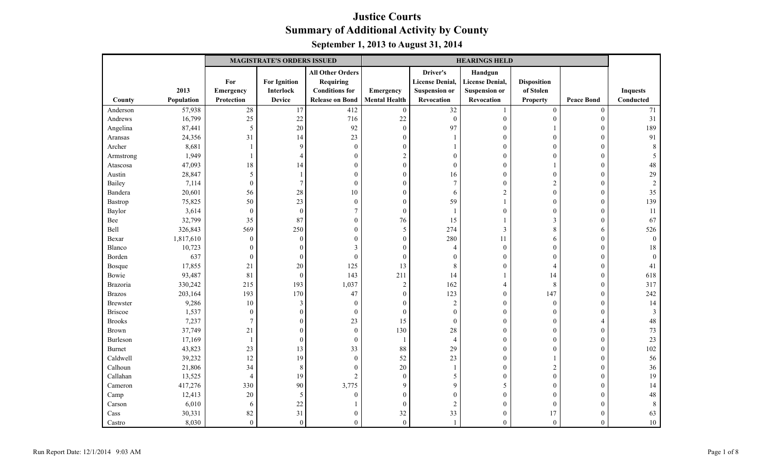|                 |            |                  | <b>MAGISTRATE'S ORDERS ISSUED</b> |                         | <b>HEARINGS HELD</b> |                        |                        |                    |                   |                 |
|-----------------|------------|------------------|-----------------------------------|-------------------------|----------------------|------------------------|------------------------|--------------------|-------------------|-----------------|
|                 |            |                  |                                   | <b>All Other Orders</b> |                      | Driver's               | Handgun                |                    |                   |                 |
|                 |            | For              | <b>For Ignition</b>               | <b>Requiring</b>        |                      | <b>License Denial,</b> | <b>License Denial,</b> | <b>Disposition</b> |                   |                 |
|                 | 2013       | Emergency        | Interlock                         | <b>Conditions</b> for   | Emergency            | <b>Suspension or</b>   | <b>Suspension or</b>   | of Stolen          |                   | <b>Inquests</b> |
| County          | Population | Protection       | <b>Device</b>                     | <b>Release on Bond</b>  | <b>Mental Health</b> | Revocation             | Revocation             | Property           | <b>Peace Bond</b> | Conducted       |
| Anderson        | 57,938     | $\overline{28}$  | 17                                | 412                     | $\boldsymbol{0}$     | $\overline{32}$        |                        | $\mathbf{0}$       | $\boldsymbol{0}$  | $\overline{71}$ |
| Andrews         | 16,799     | 25               | 22                                | 716                     | 22                   | $\boldsymbol{0}$       | $\boldsymbol{0}$       | $\mathbf{0}$       | $\boldsymbol{0}$  | 31              |
| Angelina        | 87,441     | $\mathfrak{s}$   | 20                                | 92                      | $\boldsymbol{0}$     | 97                     | $\boldsymbol{0}$       |                    | $\theta$          | 189             |
| Aransas         | 24,356     | 31               | 14                                | 23                      | $\boldsymbol{0}$     |                        | $\boldsymbol{0}$       | $\boldsymbol{0}$   | $\boldsymbol{0}$  | 91              |
| Archer          | 8,681      | 1                | 9                                 | $\boldsymbol{0}$        | $\theta$             |                        | $\mathbf{0}$           | 0                  | $\theta$          |                 |
| Armstrong       | 1,949      | 1                | $\overline{4}$                    | $\boldsymbol{0}$        | $\overline{c}$       | $\Omega$               | $\boldsymbol{0}$       | 0                  | $\mathbf{0}$      |                 |
| Atascosa        | 47,093     | 18               | 14                                | $\boldsymbol{0}$        | $\overline{0}$       | $\overline{0}$         | $\boldsymbol{0}$       |                    | $\mathbf{0}$      | 48              |
| Austin          | 28,847     | 5                |                                   | $\mathbf{0}$            | $\theta$             | 16                     | $\mathbf{0}$           | $\overline{0}$     | $\mathbf{0}$      | 29              |
| Bailey          | 7,114      | $\boldsymbol{0}$ | $\overline{7}$                    | $\boldsymbol{0}$        | $\theta$             | $\overline{7}$         | $\boldsymbol{0}$       | $\mathbf{2}$       | $\mathbf{0}$      |                 |
| Bandera         | 20,601     | 56               | 28                                | 10                      | $\Omega$             | 6                      | $\sqrt{2}$             | $\boldsymbol{0}$   | $\boldsymbol{0}$  | 35              |
| Bastrop         | 75,825     | 50               | 23                                | $\boldsymbol{0}$        | $\mathbf{0}$         | 59                     | -1                     | $\overline{0}$     | $\theta$          | 139             |
| Baylor          | 3,614      | $\boldsymbol{0}$ | $\boldsymbol{0}$                  | $\overline{7}$          | $\boldsymbol{0}$     |                        | $\boldsymbol{0}$       | $\mathbf{0}$       | $\mathbf{0}$      | 11              |
| Bee             | 32,799     | 35               | 87                                | $\boldsymbol{0}$        | 76                   | 15                     |                        | $\mathfrak{Z}$     | $\Omega$          | 67              |
| Bell            | 326,843    | 569              | 250                               | $\overline{0}$          | 5                    | 274                    | 3                      | 8                  | 6                 | 526             |
| Bexar           | 1,817,610  | $\boldsymbol{0}$ | $\overline{0}$                    | $\boldsymbol{0}$        | $\boldsymbol{0}$     | 280                    | 11                     | 6                  | $\mathbf{0}$      | $\theta$        |
| Blanco          | 10,723     | $\mathbf{0}$     | $\overline{0}$                    | 3                       | $\Omega$             | $\overline{4}$         | $\mathbf{0}$           | $\mathbf{0}$       | $\mathbf{0}$      | 18              |
| Borden          | 637        | $\boldsymbol{0}$ | $\overline{0}$                    | $\boldsymbol{0}$        | $\boldsymbol{0}$     | $\Omega$               | $\boldsymbol{0}$       | $\overline{0}$     | $\overline{0}$    |                 |
| <b>Bosque</b>   | 17,855     | 21               | 20                                | 125                     | 13                   | 8                      | $\boldsymbol{0}$       | $\overline{4}$     | $\mathbf{0}$      | 41              |
| Bowie           | 93,487     | 81               | $\overline{0}$                    | 143                     | 211                  | 14                     |                        | 14                 | $\mathbf{0}$      | 618             |
| Brazoria        | 330,242    | 215              | 193                               | 1,037                   | $\sqrt{2}$           | 162                    | 4                      | $\,8\,$            | $\mathbf{0}$      | 317             |
| <b>Brazos</b>   | 203,164    | 193              | 170                               | 47                      | $\boldsymbol{0}$     | 123                    | $\boldsymbol{0}$       | 147                | $\boldsymbol{0}$  | 242             |
| <b>Brewster</b> | 9,286      | 10               | 3                                 | $\boldsymbol{0}$        | $\Omega$             | $\overline{2}$         | $\boldsymbol{0}$       | $\boldsymbol{0}$   | $\mathbf{0}$      | 14              |
| <b>Briscoe</b>  | 1,537      | $\boldsymbol{0}$ | $\overline{0}$                    | $\boldsymbol{0}$        | $\boldsymbol{0}$     | $\overline{0}$         | $\boldsymbol{0}$       | $\mathbf{0}$       | $\theta$          |                 |
| <b>Brooks</b>   | 7,237      | $\boldsymbol{7}$ | $\Omega$                          | 23                      | 15                   | $\overline{0}$         | $\boldsymbol{0}$       | $\overline{0}$     | $\overline{4}$    | 48              |
| <b>Brown</b>    | 37,749     | 21               | $\sqrt{ }$                        | $\overline{0}$          | 130                  | 28                     | $\mathbf{0}$           | $\mathbf{0}$       | $\theta$          | 73              |
| Burleson        | 17,169     | $\mathbf{1}$     | $\theta$                          | $\boldsymbol{0}$        | $\mathbf{1}$         | $\overline{4}$         | $\boldsymbol{0}$       | $\mathbf{0}$       | $\mathbf{0}$      | 23              |
| <b>Burnet</b>   | 43,823     | 23               | 13                                | 33                      | 88                   | 29                     | $\boldsymbol{0}$       | $\theta$           | $\boldsymbol{0}$  | 102             |
| Caldwell        | 39,232     | 12               | 19                                | $\boldsymbol{0}$        | 52                   | 23                     | $\boldsymbol{0}$       |                    | $\boldsymbol{0}$  | 56              |
| Calhoun         | 21,806     | 34               | 8                                 | $\boldsymbol{0}$        | 20                   |                        | $\boldsymbol{0}$       | $\sqrt{2}$         | $\boldsymbol{0}$  | 36              |
| Callahan        | 13,525     | $\overline{4}$   | 19                                | $\sqrt{2}$              | $\boldsymbol{0}$     | 5                      | $\mathbf{0}$           | $\mathbf{0}$       | $\Omega$          | 19              |
| Cameron         | 417,276    | 330              | 90                                | 3,775                   | 9                    | $\mathbf{Q}$           | 5                      | $\overline{0}$     | $\theta$          | 14              |
| Camp            | 12,413     | $20\,$           | 5                                 | $\boldsymbol{0}$        | $\overline{0}$       | $\Omega$               | $\boldsymbol{0}$       | $\overline{0}$     | $\mathbf{0}$      | 48              |
| Carson          | 6,010      | 6                | 22                                | 1                       | $\mathbf{0}$         | $\overline{2}$         | $\mathbf{0}$           | $\overline{0}$     | $\Omega$          | 8               |
| Cass            | 30,331     | 82               | 31                                | $\boldsymbol{0}$        | 32                   | 33                     | $\boldsymbol{0}$       | 17                 | $\boldsymbol{0}$  | 63              |
| Castro          | 8,030      | $\overline{0}$   | $\theta$                          | $\boldsymbol{0}$        | $\boldsymbol{0}$     |                        | $\mathbf{0}$           | $\mathbf{0}$       | $\mathbf{0}$      | $10\,$          |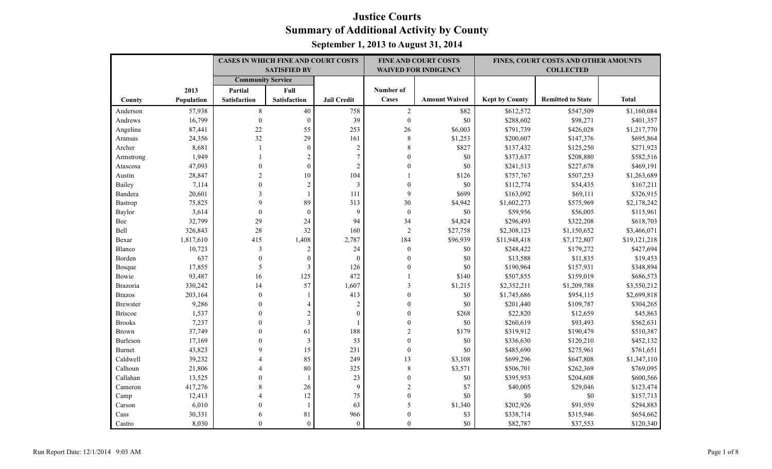|                 |            | <b>CASES IN WHICH FINE AND COURT COSTS</b> |                     |                    |                  | <b>FINE AND COURT COSTS</b> |                       | FINES, COURT COSTS AND OTHER AMOUNTS |              |
|-----------------|------------|--------------------------------------------|---------------------|--------------------|------------------|-----------------------------|-----------------------|--------------------------------------|--------------|
|                 |            |                                            | <b>SATISFIED BY</b> |                    |                  | <b>WAIVED FOR INDIGENCY</b> |                       | <b>COLLECTED</b>                     |              |
|                 |            | <b>Community Service</b>                   |                     |                    |                  |                             |                       |                                      |              |
|                 | 2013       | Partial                                    | Full                |                    | Number of        |                             |                       |                                      |              |
| County          | Population | <b>Satisfaction</b>                        | Satisfaction        | <b>Jail Credit</b> | Cases            | <b>Amount Waived</b>        | <b>Kept by County</b> | <b>Remitted to State</b>             | <b>Total</b> |
| Anderson        | 57,938     | $\,8\,$                                    | 40                  | 758                | $\sqrt{2}$       | \$82                        | \$612,572             | \$547,509                            | \$1,160,084  |
| Andrews         | 16,799     | $\boldsymbol{0}$                           | $\mathbf{0}$        | 39                 | $\mathbf{0}$     | $\$0$                       | \$288,602             | \$98,271                             | \$401,357    |
| Angelina        | 87,441     | 22                                         | 55                  | 253                | 26               | \$6,003                     | \$791,739             | \$426,028                            | \$1,217,770  |
| Aransas         | 24,356     | 32                                         | 29                  | 161                | $\,8\,$          | \$1,253                     | \$200,607             | \$147,376                            | \$695,864    |
| Archer          | 8,681      | $\mathbf{1}$                               | $\boldsymbol{0}$    | $\sqrt{2}$         | $\,$ 8 $\,$      | \$827                       | \$137,432             | \$125,250                            | \$271,923    |
| Armstrong       | 1,949      |                                            | $\sqrt{2}$          | $\overline{7}$     | $\theta$         | $\$0$                       | \$373,637             | \$208,880                            | \$582,516    |
| Atascosa        | 47,093     | $\theta$                                   | $\mathbf{0}$        | $\overline{2}$     | $\theta$         | \$0                         | \$241,513             | \$227,678                            | \$469,191    |
| Austin          | 28,847     | $\overline{2}$                             | 10                  | 104                |                  | \$126                       | \$757,767             | \$507,253                            | \$1,263,689  |
| Bailey          | 7,114      | $\theta$                                   | $\mathbf{2}$        | $\mathfrak{Z}$     | $\boldsymbol{0}$ | $\$0$                       | \$112,774             | \$54,435                             | \$167,211    |
| Bandera         | 20,601     | 3                                          |                     | 111                | 9                | \$699                       | \$163,092             | \$69,111                             | \$326,915    |
| Bastrop         | 75,825     | $\mathbf Q$                                | 89                  | 313                | 30               | \$4,942                     | \$1,602,273           | \$575,969                            | \$2,178,242  |
| Baylor          | 3,614      | $\mathbf{0}$                               | $\mathbf{0}$        | 9                  | $\boldsymbol{0}$ | $\$0$                       | \$59,956              | \$56,005                             | \$115,961    |
| Bee             | 32,799     | 29                                         | 24                  | 94                 | 34               | \$4,824                     | \$296,493             | \$322,208                            | \$618,703    |
| Bell            | 326,843    | 28                                         | 32                  | 160                | $\overline{2}$   | \$27,758                    | \$2,308,123           | \$1,150,652                          | \$3,466,071  |
| Bexar           | 1,817,610  | 415                                        | 1,408               | 2,787              | 184              | \$96,939                    | \$11,948,418          | \$7,172,807                          | \$19,121,218 |
| Blanco          | 10,723     | $\mathfrak{Z}$                             | $\sqrt{2}$          | 24                 | $\boldsymbol{0}$ | $\$0$                       | \$248,422             | \$179,272                            | \$427,694    |
| Borden          | 637        | $\mathbf{0}$                               | $\boldsymbol{0}$    | $\theta$           | $\mathbf{0}$     | \$0                         | \$13,588              | \$11,835                             | \$19,453     |
| Bosque          | 17,855     | 5                                          | $\mathfrak{Z}$      | 126                | $\theta$         | \$0                         | \$190,964             | \$157,931                            | \$348,894    |
| Bowie           | 93,487     | 16                                         | 125                 | 472                |                  | \$140                       | \$507,855             | \$159,019                            | \$686,573    |
| <b>Brazoria</b> | 330,242    | 14                                         | 57                  | 1,607              | 3                | \$1,215                     | \$2,352,211           | \$1,209,788                          | \$3,550,212  |
| <b>Brazos</b>   | 203,164    | $\mathbf{0}$                               |                     | 413                | $\mathbf{0}$     | $\$0$                       | \$1,745,686           | \$954,115                            | \$2,699,818  |
| <b>Brewster</b> | 9,286      | $\Omega$                                   | 4                   | $\sqrt{2}$         | $\boldsymbol{0}$ | \$0                         | \$201,440             | \$109,787                            | \$304,265    |
| <b>Briscoe</b>  | 1,537      | $\theta$                                   | $\overline{2}$      | $\mathbf{0}$       | $\mathbf{0}$     | \$268                       | \$22,820              | \$12,659                             | \$45,863     |
| <b>Brooks</b>   | 7,237      | $\Omega$                                   | $\overline{3}$      |                    | $\theta$         | \$0                         | \$260,619             | \$93,493                             | \$562,631    |
| Brown           | 37,749     | $\Omega$                                   | 61                  | 188                | $\overline{2}$   | \$179                       | \$319,912             | \$190,479                            | \$510,387    |
| Burleson        | 17,169     | $\theta$                                   | $\mathfrak{Z}$      | 53                 | $\mathbf{0}$     | \$0                         | \$336,630             | \$120,210                            | \$452,132    |
| <b>Burnet</b>   | 43,823     | $\mathbf Q$                                | 15                  | 231                | $\mathbf{0}$     | \$0                         | \$485,690             | \$275,961                            | \$761,651    |
| Caldwell        | 39,232     |                                            | 85                  | 249                | 13               | \$3,108                     | \$699,296             | \$647,808                            | \$1,347,110  |
| Calhoun         | 21,806     |                                            | 80                  | 325                | $\,$ 8 $\,$      | \$3,571                     | \$506,701             | \$262,369                            | \$769,095    |
| Callahan        | 13,525     | $\Omega$                                   |                     | 23                 | $\mathbf{0}$     | $\$0$                       | \$395,953             | \$204,608                            | \$600,566    |
| Cameron         | 417,276    | 8                                          | 26                  | 9                  | $\overline{c}$   | \$7                         | \$40,005              | \$29,046                             | \$123,474    |
| Camp            | 12,413     |                                            | 12                  | 75                 | $\mathbf{0}$     | \$0                         | \$0                   | \$0                                  | \$157,713    |
| Carson          | 6,010      | $\theta$                                   |                     | 63                 | 5                | \$1,340                     | \$202,926             | \$91,959                             | \$294,883    |
| Cass            | 30,331     |                                            | 81                  | 966                | $\mathbf{0}$     | \$3                         | \$338,714             | \$315,946                            | \$654,662    |
| Castro          | 8,030      | $\Omega$                                   | $\theta$            | $\mathbf{0}$       | $\theta$         | \$0                         | \$82,787              | \$37,553                             | \$120,340    |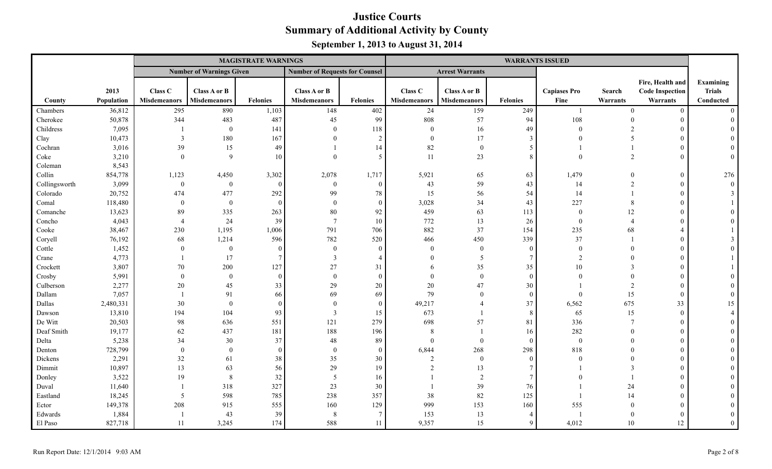|               |            |                     |                                 | <b>MAGISTRATE WARNINGS</b> |                                       |                |                     |                        |                 | <b>WARRANTS ISSUED</b> |                |                        |               |
|---------------|------------|---------------------|---------------------------------|----------------------------|---------------------------------------|----------------|---------------------|------------------------|-----------------|------------------------|----------------|------------------------|---------------|
|               |            |                     | <b>Number of Warnings Given</b> |                            | <b>Number of Requests for Counsel</b> |                |                     | <b>Arrest Warrants</b> |                 |                        |                |                        |               |
|               |            |                     |                                 |                            |                                       |                |                     |                        |                 |                        |                | Fire, Health and       | Examining     |
|               | 2013       | Class C             | Class A or B                    |                            | Class A or B                          |                | Class C             | Class A or B           |                 | <b>Capiases Pro</b>    | <b>Search</b>  | <b>Code Inspection</b> | <b>Trials</b> |
| County        | Population | <b>Misdemeanors</b> | <b>Misdemeanors</b>             | <b>Felonies</b>            | <b>Misdemeanors</b>                   | Felonies       | <b>Misdemeanors</b> | <b>Misdemeanors</b>    | <b>Felonies</b> | Fine                   | Warrants       | Warrants               | Conducted     |
| Chambers      | 36,812     | 295                 | 890                             | 1,103                      | 148                                   | 402            | 24                  | 159                    | 249             |                        | $\Omega$       | $\Omega$               | $\Omega$      |
| Cherokee      | 50,878     | 344                 | 483                             | 487                        | 45                                    | 99             | 808                 | 57                     | 94              | 108                    | $\Omega$       | $\Omega$               |               |
| Childress     | 7,095      |                     | $\mathbf{0}$                    | 141                        | $\theta$                              | 118            | $\overline{0}$      | 16                     | 49              | $\Omega$               |                |                        |               |
| Clay          | 10,473     | 3                   | 180                             | 167                        | $\Omega$                              | $\overline{2}$ | $\mathbf{0}$        | 17                     | 3               |                        | 5              |                        |               |
| Cochran       | 3,016      | 39                  | 15                              | 49                         |                                       | 14             | 82                  | $\mathbf{0}$           | 5               |                        |                |                        |               |
| Coke          | 3,210      | $\overline{0}$      | $\mathbf{Q}$                    | 10                         | $\Omega$                              | 5 <sup>5</sup> | 11                  | 23                     | 8               |                        | 2              |                        | $\Omega$      |
| Coleman       | 8,543      |                     |                                 |                            |                                       |                |                     |                        |                 |                        |                |                        |               |
| Collin        | 854,778    | 1,123               | 4,450                           | 3,302                      | 2,078                                 | 1,717          | 5,921               | 65                     | 63              | 1,479                  | $\Omega$       |                        | 276           |
| Collingsworth | 3,099      | $\mathbf{0}$        | $\mathbf{0}$                    | $\Omega$                   | $\boldsymbol{0}$                      | $\overline{0}$ | 43                  | 59                     | 43              | 14                     | $\overline{2}$ | $\Omega$               | $\theta$      |
| Colorado      | 20,752     | 474                 | 477                             | 292                        | 99                                    | $78\,$         | 15                  | 56                     | 54              | 14                     |                |                        |               |
| Comal         | 118,480    | $\overline{0}$      | $\mathbf{0}$                    | $\theta$                   | $\bf{0}$                              | $\overline{0}$ | 3,028               | 34                     | 43              | 227                    | 8              |                        |               |
| Comanche      | 13,623     | 89                  | 335                             | 263                        | $80\,$                                | 92             | 459                 | 63                     | 113             | $\Omega$               | 12             |                        |               |
| Concho        | 4,043      | $\overline{4}$      | 24                              | 39                         | $7\phantom{.0}$                       | 10             | 772                 | 13                     | 26              | $\theta$               |                |                        |               |
| Cooke         | 38,467     | 230                 | 1,195                           | 1,006                      | 791                                   | 706            | 882                 | 37                     | 154             | 235                    | 68             |                        |               |
| Coryell       | 76,192     | 68                  | 1,214                           | 596                        | 782                                   | 520            | 466                 | 450                    | 339             | 37                     |                |                        |               |
| Cottle        | 1,452      | $\overline{0}$      | $\mathbf{0}$                    | $\overline{0}$             | $\mathbf{0}$                          | $\mathbf{0}$   | $\Omega$            | $\overline{0}$         | $\overline{0}$  | $\Omega$               |                |                        |               |
| Crane         | 4,773      |                     | 17                              | $\tau$                     | 3                                     | $\overline{4}$ | $\Omega$            | 5                      | $\tau$          | 2                      |                |                        |               |
| Crockett      | 3,807      | 70                  | 200                             | 127                        | 27                                    | 31             | 6                   | 35                     | 35              | 10                     | $\mathcal{F}$  |                        |               |
| Crosby        | 5,991      | $\theta$            | $\theta$                        | $\Omega$                   | $\theta$                              | $\Omega$       | $\Omega$            | $\theta$               | $\Omega$        | $\Omega$               | $\Omega$       |                        |               |
| Culberson     | 2,277      | 20                  | 45                              | 33                         | 29                                    | 20             | $20\,$              | 47                     | 30              |                        | $\overline{2}$ |                        |               |
| Dallam        | 7,057      |                     | 91                              | 66                         | 69                                    | 69             | 79                  | $\theta$               | $\theta$        | $\Omega$               | 15             | $\Omega$               |               |
| Dallas        | 2,480,331  | 30                  | $\theta$                        | $\Omega$                   | $\theta$                              | $\overline{0}$ | 49,217              | $\overline{A}$         | 37              | 6,562                  | 675            | 33                     | 15            |
| Dawson        | 13,810     | 194                 | 104                             | 93                         | $\overline{3}$                        | 15             | 673                 |                        | 8               | 65                     | 15             | $\Omega$               |               |
| De Witt       | 20,503     | 98                  | 636                             | 551                        | 121                                   | 279            | 698                 | 57                     | 81              | 336                    | $\overline{7}$ |                        |               |
| Deaf Smith    | 19,177     | 62                  | 437                             | 181                        | 188                                   | 196            | 8                   |                        | 16              | 282                    | $\Omega$       |                        |               |
| Delta         | 5,238      | 34                  | 30                              | 37                         | $48\,$                                | 89             | $\Omega$            | $\theta$               | $\theta$        | $\Omega$               |                |                        |               |
| Denton        | 728,799    | $\mathbf{0}$        | $\theta$                        | $\theta$                   | $\mathbf{0}$                          | $\overline{0}$ | 6,844               | 268                    | 298             | 818                    |                |                        |               |
| Dickens       | 2,291      | 32                  | 61                              | 38                         | 35                                    | 30             | 2                   | $\mathbf{0}$           | $\theta$        | $\Omega$               |                |                        |               |
| Dimmit        | 10,897     | 13                  | 63                              | 56                         | 29                                    | 19             |                     | 13                     |                 |                        |                |                        |               |
| Donley        | 3,522      | 19                  | 8                               | 32                         | 5                                     | 16             |                     | 2                      | $\tau$          |                        |                |                        |               |
| Duval         | 11,640     |                     | 318                             | 327                        | 23                                    | 30             |                     | 39                     | 76              |                        | 24             |                        |               |
| Eastland      | 18,245     | 5                   | 598                             | 785                        | 238                                   | 357            | 38                  | 82                     | 125             |                        | 14             |                        |               |
| Ector         | 149,378    | 208                 | 915                             | 555                        | 160                                   | 129            | 999                 | 153                    | 160             | 555                    | $\Omega$       |                        |               |
| Edwards       | 1,884      |                     | 43                              | 39                         | 8                                     | 7              | 153                 | 13                     | $\overline{4}$  |                        | $\Omega$       |                        |               |
| El Paso       | 827,718    | 11                  | 3,245                           | 174                        | 588                                   | 11             | 9,357               | 15                     | 9               | 4,012                  | 10             | 12                     | $\theta$      |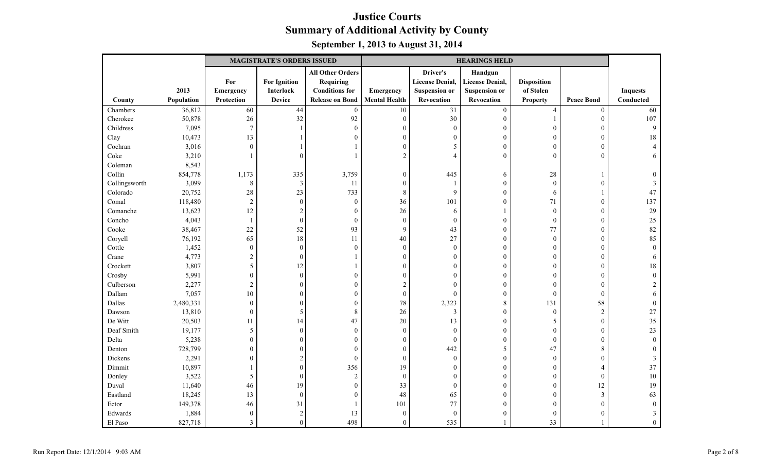|               |            |                  | <b>MAGISTRATE'S ORDERS ISSUED</b> |                         | <b>HEARINGS HELD</b> |                        |                        |                    |                   |                 |
|---------------|------------|------------------|-----------------------------------|-------------------------|----------------------|------------------------|------------------------|--------------------|-------------------|-----------------|
|               |            |                  |                                   | <b>All Other Orders</b> |                      | Driver's               | Handgun                |                    |                   |                 |
|               |            | For              | <b>For Ignition</b>               | <b>Requiring</b>        |                      | <b>License Denial,</b> | <b>License Denial,</b> | <b>Disposition</b> |                   |                 |
|               | 2013       | Emergency        | Interlock                         | <b>Conditions for</b>   | <b>Emergency</b>     | <b>Suspension or</b>   | <b>Suspension or</b>   | of Stolen          |                   | <b>Inquests</b> |
| County        | Population | Protection       | <b>Device</b>                     | <b>Release on Bond</b>  | <b>Mental Health</b> | Revocation             | Revocation             | <b>Property</b>    | <b>Peace Bond</b> | Conducted       |
| Chambers      | 36,812     | 60               | 44                                | $\boldsymbol{0}$        | 10                   | 31                     | $\boldsymbol{0}$       | $\overline{4}$     | $\boldsymbol{0}$  | 60              |
| Cherokee      | 50,878     | 26               | 32                                | 92                      | $\boldsymbol{0}$     | 30                     | $\boldsymbol{0}$       |                    | $\boldsymbol{0}$  | 107             |
| Childress     | 7,095      | $\boldsymbol{7}$ |                                   | $\boldsymbol{0}$        | $\theta$             | $\overline{0}$         | $\boldsymbol{0}$       | $\theta$           | $\theta$          | 9               |
| Clay          | 10,473     | 13               |                                   | $\boldsymbol{0}$        | $\mathbf{0}$         | $\theta$               | $\boldsymbol{0}$       | $\mathbf{0}$       | $\boldsymbol{0}$  | 18              |
| Cochran       | 3,016      | $\boldsymbol{0}$ |                                   | 1                       | $\boldsymbol{0}$     | $\sim$                 | $\boldsymbol{0}$       | $\overline{0}$     | $\boldsymbol{0}$  |                 |
| Coke          | 3,210      |                  | $\theta$                          | 1                       | $\overline{2}$       | $\overline{A}$         | $\mathbf{0}$           | $\theta$           | $\theta$          |                 |
| Coleman       | 8,543      |                  |                                   |                         |                      |                        |                        |                    |                   |                 |
| Collin        | 854,778    | 1,173            | 335                               | 3,759                   | $\boldsymbol{0}$     | 445                    | 6                      | $28\,$             |                   |                 |
| Collingsworth | 3,099      | $\,8\,$          | 3                                 | 11                      | $\bf{0}$             |                        | $\boldsymbol{0}$       | $\mathbf{0}$       | $\theta$          |                 |
| Colorado      | 20,752     | 28               | 23                                | 733                     | $\,8\,$              | 9                      | $\boldsymbol{0}$       | 6                  |                   | 47              |
| Comal         | 118,480    | $\sqrt{2}$       | $\boldsymbol{0}$                  | $\boldsymbol{0}$        | 36                   | 101                    | $\boldsymbol{0}$       | 71                 | $\boldsymbol{0}$  | 137             |
| Comanche      | 13,623     | 12               | $\overline{2}$                    | $\mathbf{0}$            | 26                   | 6                      |                        | $\mathbf{0}$       | $\theta$          | 29              |
| Concho        | 4,043      | $\mathbf{1}$     | $\boldsymbol{0}$                  | $\boldsymbol{0}$        | $\boldsymbol{0}$     | $\overline{0}$         | $\mathbf{0}$           | $\boldsymbol{0}$   | $\mathbf{0}$      | 25              |
| Cooke         | 38,467     | 22               | 52                                | 93                      | $\mathbf{9}$         | 43                     | $\boldsymbol{0}$       | 77                 | $\theta$          | 82              |
| Coryell       | 76,192     | 65               | 18                                | 11                      | 40                   | 27                     | $\boldsymbol{0}$       | $\mathbf{0}$       | $\theta$          | 85              |
| Cottle        | 1,452      | $\boldsymbol{0}$ | $\boldsymbol{0}$                  | $\boldsymbol{0}$        | $\boldsymbol{0}$     | $\boldsymbol{0}$       | $\boldsymbol{0}$       | $\mathbf{0}$       | $\boldsymbol{0}$  | $\Omega$        |
| Crane         | 4,773      | $\sqrt{2}$       | $\boldsymbol{0}$                  | 1                       | $\boldsymbol{0}$     | $\Omega$               | $\boldsymbol{0}$       | $\overline{0}$     | $\boldsymbol{0}$  | 6               |
| Crockett      | 3,807      | 5                | 12                                | 1                       | $\mathbf{0}$         | $\Omega$               | $\mathbf{0}$           | $\theta$           | $\theta$          | 18              |
| Crosby        | 5,991      | $\boldsymbol{0}$ | $\boldsymbol{0}$                  | $\boldsymbol{0}$        | $\boldsymbol{0}$     | $\theta$               | $\mathbf{0}$           | $\theta$           | $\theta$          | $\Omega$        |
| Culberson     | 2,277      | $\overline{2}$   | $\boldsymbol{0}$                  | $\boldsymbol{0}$        | $\sqrt{2}$           | $\Omega$               | $\boldsymbol{0}$       | $\overline{0}$     | $\mathbf{0}$      |                 |
| Dallam        | 7,057      | $10\,$           | $\theta$                          | $\boldsymbol{0}$        | $\boldsymbol{0}$     | $\theta$               | $\boldsymbol{0}$       | $\mathbf{0}$       | $\theta$          |                 |
| Dallas        | 2,480,331  | $\boldsymbol{0}$ | $\boldsymbol{0}$                  | $\boldsymbol{0}$        | 78                   | 2,323                  | $\,$ 8 $\,$            | 131                | 58                |                 |
| Dawson        | 13,810     | $\boldsymbol{0}$ | 5                                 | $\,$ 8 $\,$             | 26                   | $\overline{3}$         | $\boldsymbol{0}$       | $\mathbf{0}$       | $\sqrt{2}$        | $27\,$          |
| De Witt       | 20,503     | 11               | 14                                | 47                      | 20                   | 13                     | $\boldsymbol{0}$       | 5                  | $\mathbf{0}$      | 35              |
| Deaf Smith    | 19,177     | 5                | $\boldsymbol{0}$                  | $\boldsymbol{0}$        | $\boldsymbol{0}$     | $\theta$               | $\mathbf{0}$           | $\theta$           | $\overline{0}$    | 23              |
| Delta         | 5,238      | $\boldsymbol{0}$ | $\boldsymbol{0}$                  | $\boldsymbol{0}$        | $\boldsymbol{0}$     | $\boldsymbol{0}$       | $\boldsymbol{0}$       | $\boldsymbol{0}$   | $\mathbf{0}$      | $\Omega$        |
| Denton        | 728,799    | $\boldsymbol{0}$ | $\boldsymbol{0}$                  | $\boldsymbol{0}$        | $\theta$             | 442                    | 5                      | 47                 | 8                 |                 |
| Dickens       | 2,291      | $\boldsymbol{0}$ | $\overline{c}$                    | $\boldsymbol{0}$        | $\boldsymbol{0}$     | $\boldsymbol{0}$       | $\boldsymbol{0}$       | $\mathbf{0}$       | $\boldsymbol{0}$  |                 |
| Dimmit        | 10,897     | 1                | $\boldsymbol{0}$                  | 356                     | 19                   | $\theta$               | $\boldsymbol{0}$       | $\overline{0}$     | $\overline{4}$    | 37              |
| Donley        | 3,522      | $\mathfrak{S}$   | $\boldsymbol{0}$                  | $\sqrt{2}$              | $\boldsymbol{0}$     | $\theta$               | $\mathbf{0}$           | $\theta$           | $\theta$          | 10              |
| Duval         | 11,640     | 46               | 19                                | $\boldsymbol{0}$        | 33                   | $\overline{0}$         | $\mathbf{0}$           | $\theta$           | 12                | 19              |
| Eastland      | 18,245     | 13               | $\boldsymbol{0}$                  | $\boldsymbol{0}$        | 48                   | 65                     | $\boldsymbol{0}$       | $\overline{0}$     | $\mathfrak{Z}$    | 63              |
| Ector         | 149,378    | 46               | 31                                | 1                       | 101                  | 77                     | $\boldsymbol{0}$       | $\theta$           | $\theta$          |                 |
| Edwards       | 1,884      | $\boldsymbol{0}$ | $\sqrt{2}$                        | 13                      | $\boldsymbol{0}$     | $\overline{0}$         | $\mathbf{0}$           | $\theta$           | $\Omega$          |                 |
| El Paso       | 827,718    | 3                | $\boldsymbol{0}$                  | 498                     | $\boldsymbol{0}$     | 535                    |                        | 33                 |                   | $\mathbf{0}$    |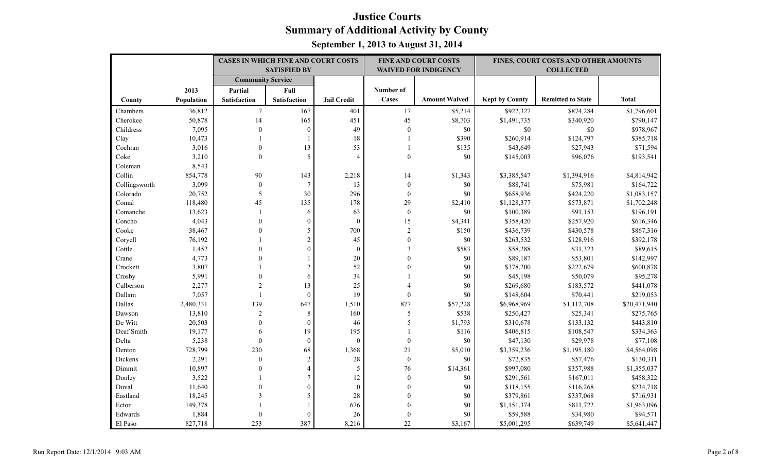|               |                   | <b>CASES IN WHICH FINE AND COURT COSTS</b> |                     |                    |                          | <b>FINE AND COURT COSTS</b> | FINES, COURT COSTS AND OTHER AMOUNTS |                          |              |
|---------------|-------------------|--------------------------------------------|---------------------|--------------------|--------------------------|-----------------------------|--------------------------------------|--------------------------|--------------|
|               |                   |                                            | <b>SATISFIED BY</b> |                    |                          | <b>WAIVED FOR INDIGENCY</b> |                                      | <b>COLLECTED</b>         |              |
|               |                   | <b>Community Service</b>                   |                     |                    |                          |                             |                                      |                          |              |
|               | 2013              | Partial                                    | Full                |                    | Number of                |                             |                                      |                          |              |
| County        | <b>Population</b> | <b>Satisfaction</b>                        | <b>Satisfaction</b> | <b>Jail Credit</b> | Cases                    | <b>Amount Waived</b>        | <b>Kept by County</b>                | <b>Remitted to State</b> | <b>Total</b> |
| Chambers      | 36,812            | $\overline{7}$                             | 167                 | 401                | 17                       | \$5,214                     | \$922,327                            | \$874,284                | \$1,796,601  |
| Cherokee      | 50,878            | 14                                         | 165                 | 451                | 45                       | \$8,703                     | \$1,491,735                          | \$340,920                | \$790,147    |
| Childress     | 7,095             | $\mathbf{0}$                               | $\mathbf{0}$        | 49                 | $\boldsymbol{0}$         | \$0                         | $\$0$                                | \$0                      | \$978,967    |
| Clay          | 10,473            | $\mathbf{1}$                               | 1                   | 18                 | $\mathbf{1}$             | \$390                       | \$260,914                            | \$124,797                | \$385,718    |
| Cochran       | 3,016             | $\mathbf{0}$                               | 13                  | 53                 |                          | \$135                       | \$43,649                             | \$27,943                 | \$71,594     |
| Coke          | 3,210             | $\mathbf{0}$                               | 5                   | $\overline{4}$     | $\mathbf{0}$             | \$0                         | \$145,003                            | \$96,076                 | \$193,541    |
| Coleman       | 8,543             |                                            |                     |                    |                          |                             |                                      |                          |              |
| Collin        | 854,778           | 90                                         | 143                 | 2,218              | 14                       | \$1,343                     | \$3,385,547                          | \$1,394,916              | \$4,814,942  |
| Collingsworth | 3,099             | $\boldsymbol{0}$                           | $\overline{7}$      | 13                 | $\boldsymbol{0}$         | \$0                         | \$88,741                             | \$75,981                 | \$164,722    |
| Colorado      | 20,752            | 5                                          | 30                  | 296                | $\mathbf{0}$             | \$0                         | \$658,936                            | \$424,220                | \$1,083,157  |
| Comal         | 118,480           | 45                                         | 135                 | 178                | 29                       | \$2,410                     | \$1,128,377                          | \$573,871                | \$1,702,248  |
| Comanche      | 13,623            | $\overline{1}$                             | 6                   | 63                 | $\boldsymbol{0}$         | \$0                         | \$100,389                            | \$91,153                 | \$196,191    |
| Concho        | 4,043             | $\Omega$                                   | $\mathbf{0}$        | $\theta$           | 15                       | \$4,341                     | \$358,420                            | \$257,920                | \$616,346    |
| Cooke         | 38,467            | $\Omega$                                   | 5                   | 700                | $\overline{2}$           | \$150                       | \$436,739                            | \$430,578                | \$867,316    |
| Coryell       | 76,192            |                                            | $\overline{2}$      | 45                 | $\boldsymbol{0}$         | \$0                         | \$263,532                            | \$128,916                | \$392,178    |
| Cottle        | 1,452             | $\Omega$                                   | $\boldsymbol{0}$    | $\boldsymbol{0}$   | 3                        | \$583                       | \$58,288                             | \$31,323                 | \$89,615     |
| Crane         | 4,773             |                                            |                     | 20                 | $\theta$                 | \$0                         | \$89,187                             | \$53,801                 | \$142,997    |
| Crockett      | 3,807             |                                            | $\overline{c}$      | 52                 | $\theta$                 | \$0                         | \$378,200                            | \$222,679                | \$600,878    |
| Crosby        | 5,991             | $\Omega$                                   | 6                   | 34                 |                          | \$0                         | \$45,198                             | \$50,079                 | \$95,278     |
| Culberson     | 2,277             | $\overline{2}$                             | 13                  | 25                 | $\overline{\mathcal{A}}$ | \$0                         | \$269,680                            | \$183,572                | \$441,078    |
| Dallam        | 7,057             | $\overline{1}$                             | $\theta$            | 19                 | $\mathbf{0}$             | \$0                         | \$148,604                            | \$70,441                 | \$219,053    |
| Dallas        | 2,480,331         | 139                                        | 647                 | 1,510              | 877                      | \$57,228                    | \$6,968,969                          | \$1,112,708              | \$20,471,940 |
| Dawson        | 13,810            | $\overline{2}$                             | 8                   | 160                | 5                        | \$538                       | \$250,427                            | \$25,341                 | \$275,765    |
| De Witt       | 20,503            | $\Omega$                                   | $\theta$            | 46                 | 5                        | \$1,793                     | \$310,678                            | \$133,132                | \$443,810    |
| Deaf Smith    | 19,177            | 6                                          | 19                  | 195                |                          | \$116                       | \$406,815                            | \$108,547                | \$334,363    |
| Delta         | 5,238             | $\mathbf{0}$                               | $\mathbf{0}$        | $\theta$           | $\boldsymbol{0}$         | \$0                         | \$47,130                             | \$29,978                 | \$77,108     |
| Denton        | 728,799           | 230                                        | 68                  | 1,368              | 21                       | \$5,010                     | \$3,359,236                          | \$1,195,180              | \$4,564,098  |
| Dickens       | 2,291             | $\mathbf{0}$                               | $\sqrt{2}$          | 28                 | $\boldsymbol{0}$         | \$0                         | \$72,835                             | \$57,476                 | \$130,311    |
| Dimmit        | 10,897            | $\Omega$                                   | $\overline{4}$      | 5                  | 76                       | \$14,361                    | \$997,080                            | \$357,988                | \$1,355,037  |
| Donley        | 3,522             |                                            | $\tau$              | 12                 | $\boldsymbol{0}$         | \$0                         | \$291,561                            | \$167,011                | \$458,322    |
| Duval         | 11,640            | $\Omega$                                   | $\boldsymbol{0}$    | $\boldsymbol{0}$   | $\mathbf{0}$             | \$0                         | \$118,155                            | \$116,268                | \$234,718    |
| Eastland      | 18,245            | 3                                          | 5                   | 28                 | $\theta$                 | \$0                         | \$379,861                            | \$337,068                | \$716,931    |
| Ector         | 149,378           |                                            | 1                   | 676                | $\mathbf{0}$             | \$0                         | \$1,151,374                          | \$811,722                | \$1,963,096  |
| Edwards       | 1,884             | $\theta$                                   | $\mathbf{0}$        | 26                 | $\mathbf{0}$             | \$0                         | \$59,588                             | \$34,980                 | \$94,571     |
| El Paso       | 827,718           | 253                                        | 387                 | 8,216              | 22                       | \$3,167                     | \$5,001,295                          | \$639,749                | \$5,641,447  |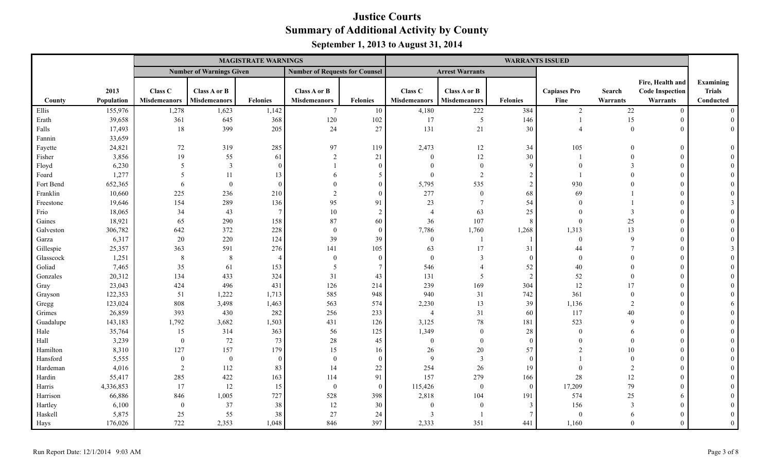|           |            | <b>MAGISTRATE WARNINGS</b> |                                 |                 |                                       |                |                     |                        |                 | <b>WARRANTS ISSUED</b>   |                |                        |                |
|-----------|------------|----------------------------|---------------------------------|-----------------|---------------------------------------|----------------|---------------------|------------------------|-----------------|--------------------------|----------------|------------------------|----------------|
|           |            |                            | <b>Number of Warnings Given</b> |                 | <b>Number of Requests for Counsel</b> |                |                     | <b>Arrest Warrants</b> |                 |                          |                |                        |                |
|           |            |                            |                                 |                 |                                       |                |                     |                        |                 |                          |                | Fire, Health and       | Examining      |
|           | 2013       | Class C                    | Class A or B                    |                 | <b>Class A or B</b>                   |                | Class C             | Class A or B           |                 | <b>Capiases Pro</b>      | Search         | <b>Code Inspection</b> | <b>Trials</b>  |
| County    | Population | <b>Misdemeanors</b>        | Misdemeanors                    | <b>Felonies</b> | <b>Misdemeanors</b>                   | Felonies       | <b>Misdemeanors</b> | <b>Misdemeanors</b>    | <b>Felonies</b> | Fine                     | Warrants       | Warrants               | Conducted      |
| Ellis     | 155,976    | 1,278                      | 1,623                           | 1,142           | $\overline{7}$                        | 10             | 4,180               | 222                    | 384             | $\overline{2}$           | 22             | $\Omega$               | $\Omega$       |
| Erath     | 39,658     | 361                        | 645                             | 368             | 120                                   | 102            | 17                  | 5                      | 146             |                          | 15             | $\Omega$               | $\overline{0}$ |
| Falls     | 17,493     | 18                         | 399                             | 205             | 24                                    | 27             | 131                 | 21                     | 30              | $\boldsymbol{\varDelta}$ | $\Omega$       |                        | $\theta$       |
| Fannin    | 33,659     |                            |                                 |                 |                                       |                |                     |                        |                 |                          |                |                        |                |
| Fayette   | 24,821     | 72                         | 319                             | 285             | 97                                    | 119            | 2,473               | $12\,$                 | 34              | 105                      | $\Omega$       | $\Omega$               |                |
| Fisher    | 3,856      | 19                         | 55                              | 61              | 2                                     | 21             | $\Omega$            | 12                     | 30              |                          | $\Omega$       |                        |                |
| Floyd     | 6,230      | 5                          | $\mathbf{3}$                    | $\Omega$        |                                       | $\theta$       | $\Omega$            | $\theta$               | 9               |                          |                |                        |                |
| Foard     | 1,277      | 5                          | 11                              | 13              |                                       | 5              | $\Omega$            | 2                      | 2               |                          |                |                        |                |
| Fort Bend | 652,365    | 6                          | $\Omega$                        | $\Omega$        |                                       | $\theta$       | 5,795               | 535                    | 2               | 930                      |                |                        |                |
| Franklin  | 10,660     | 225                        | 236                             | 210             | $\overline{c}$                        | $\theta$       | 277                 | $\boldsymbol{0}$       | 68              | 69                       |                |                        |                |
| Freestone | 19,646     | 154                        | 289                             | 136             | 95                                    | 91             | 23                  | $\overline{7}$         | 54              | $\Omega$                 |                |                        |                |
| Frio      | 18,065     | 34                         | 43                              | $\overline{7}$  | 10                                    | 2              | $\overline{4}$      | 63                     | 25              | $\Omega$                 | 3              |                        |                |
| Gaines    | 18,921     | 65                         | 290                             | 158             | 87                                    | 60             | 36                  | 107                    | 8               | $\Omega$                 | 25             |                        |                |
| Galveston | 306,782    | 642                        | 372                             | 228             | $\mathbf{0}$                          | $\theta$       | 7,786               | 1,760                  | 1,268           | 1,313                    | 13             |                        |                |
| Garza     | 6,317      | 20                         | 220                             | 124             | 39                                    | 39             | $\bf{0}$            | -1                     |                 | $\theta$                 | $\mathbf{Q}$   |                        |                |
| Gillespie | 25,357     | 363                        | 591                             | 276             | 141                                   | 105            | 63                  | 17                     | 31              | 44                       | $\overline{7}$ |                        |                |
| Glasscock | 1,251      | 8                          | 8                               |                 | $\theta$                              | $\overline{0}$ | $\mathbf{0}$        | 3                      | $\Omega$        | $\theta$                 | $\Omega$       |                        |                |
| Goliad    | 7,465      | 35                         | 61                              | 153             | 5                                     | $\overline{7}$ | 546                 |                        | 52              | 40                       |                |                        |                |
| Gonzales  | 20,312     | 134                        | 433                             | 324             | 31                                    | 43             | 131                 | 5                      | 2               | 52                       | $\Omega$       |                        |                |
| Gray      | 23,043     | 424                        | 496                             | 431             | 126                                   | 214            | 239                 | 169                    | 304             | 12                       | 17             |                        |                |
| Grayson   | 122,353    | 51                         | 1,222                           | 1,713           | 585                                   | 948            | 940                 | 31                     | 742             | 361                      | $\Omega$       |                        |                |
| Gregg     | 123,024    | 808                        | 3,498                           | 1,463           | 563                                   | 574            | 2,230               | 13                     | 39              | 1,136                    | 2              |                        |                |
| Grimes    | 26,859     | 393                        | 430                             | 282             | 256                                   | 233            | $\overline{4}$      | 31                     | 60              | 117                      | 40             |                        |                |
| Guadalupe | 143,183    | 1,792                      | 3,682                           | 1,503           | 431                                   | 126            | 3,125               | $78\,$                 | 181             | 523                      | $\mathbf Q$    |                        |                |
| Hale      | 35,764     | 15                         | 314                             | 363             | 56                                    | 125            | 1,349               | $\mathbf{0}$           | 28              | $\Omega$                 | 6              |                        |                |
| Hall      | 3,239      | $\overline{0}$             | 72                              | 73              | $28\,$                                | 45             | $\bf{0}$            | $\theta$               | $\theta$        | $\Omega$                 |                |                        |                |
| Hamilton  | 8,310      | 127                        | 157                             | 179             | 15                                    | 16             | 26                  | 20                     | 57              | $\mathcal{D}$            | 10             |                        |                |
| Hansford  | 5,555      | $\overline{0}$             | $\theta$                        | $\theta$        | $\mathbf{0}$                          | $\overline{0}$ | 9                   | $\overline{3}$         | $\Omega$        |                          | $\Omega$       |                        |                |
| Hardeman  | 4,016      | 2                          | 112                             | 83              | 14                                    | 22             | 254                 | 26                     | 19              | $\Omega$                 | $\overline{2}$ |                        |                |
| Hardin    | 55,417     | 285                        | 422                             | 163             | 114                                   | 91             | 157                 | 279                    | 166             | 28                       | 12             |                        |                |
| Harris    | 4,336,853  | 17                         | 12                              | 15              | $\mathbf{0}$                          | $\theta$       | 115,426             | $\mathbf{0}$           | $\theta$        | 17,209                   | 79             |                        |                |
| Harrison  | 66,886     | 846                        | 1,005                           | 727             | 528                                   | 398            | 2,818               | 104                    | 191             | 574                      | 25             | 6                      |                |
| Hartley   | 6,100      | $\mathbf{0}$               | 37                              | 38              | 12                                    | 30             | $\theta$            | $\mathbf{0}$           | 3               | 156                      | 3              |                        |                |
| Haskell   | 5,875      | 25                         | 55                              | 38              | 27                                    | 24             | $\mathcal{R}$       |                        |                 |                          | 6              |                        |                |
| Hays      | 176,026    | 722                        | 2,353                           | 1,048           | 846                                   | 397            | 2,333               | 351                    | 441             | 1,160                    | $\Omega$       |                        | $\theta$       |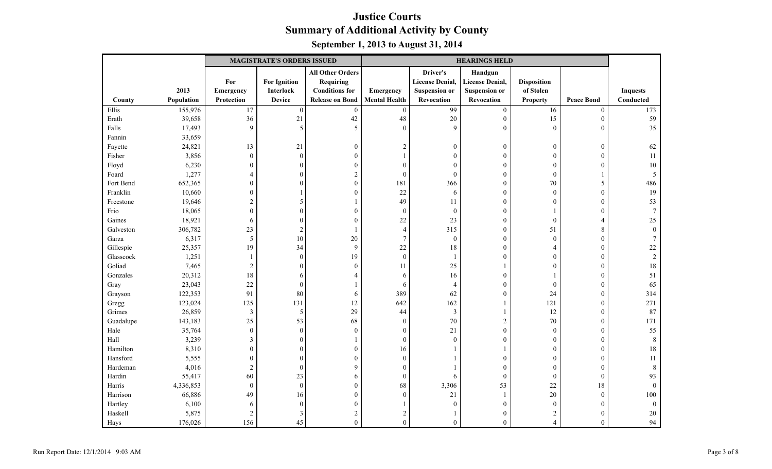|           |            |                         | <b>MAGISTRATE'S ORDERS ISSUED</b> |                         | <b>HEARINGS HELD</b> |                        |                        |                    |                   |                 |
|-----------|------------|-------------------------|-----------------------------------|-------------------------|----------------------|------------------------|------------------------|--------------------|-------------------|-----------------|
|           |            |                         |                                   | <b>All Other Orders</b> |                      | Driver's               | Handgun                |                    |                   |                 |
|           |            | For                     | <b>For Ignition</b>               | <b>Requiring</b>        |                      | <b>License Denial,</b> | <b>License Denial,</b> | <b>Disposition</b> |                   |                 |
|           | 2013       | Emergency               | <b>Interlock</b>                  | <b>Conditions for</b>   | Emergency            | <b>Suspension or</b>   | <b>Suspension or</b>   | of Stolen          |                   | <b>Inquests</b> |
| County    | Population | Protection              | <b>Device</b>                     | <b>Release on Bond</b>  | <b>Mental Health</b> | Revocation             | Revocation             | <b>Property</b>    | <b>Peace Bond</b> | Conducted       |
| Ellis     | 155,976    | 17                      | $\boldsymbol{0}$                  | $\boldsymbol{0}$        | $\boldsymbol{0}$     | 99                     | $\boldsymbol{0}$       | 16                 | $\boldsymbol{0}$  | 173             |
| Erath     | 39,658     | 36                      | 21                                | 42                      | 48                   | 20                     | $\boldsymbol{0}$       | 15                 | $\mathbf{0}$      | 59              |
| Falls     | 17,493     | 9                       | 5                                 | 5                       | $\mathbf{0}$         | $\overline{9}$         | $\mathbf{0}$           | $\boldsymbol{0}$   | $\mathbf{0}$      | 35              |
| Fannin    | 33,659     |                         |                                   |                         |                      |                        |                        |                    |                   |                 |
| Fayette   | 24,821     | 13                      | 21                                | $\boldsymbol{0}$        | $\overline{2}$       | $\theta$               | $\boldsymbol{0}$       | $\overline{0}$     | $\boldsymbol{0}$  | 62              |
| Fisher    | 3,856      | $\boldsymbol{0}$        | $\boldsymbol{0}$                  | $\boldsymbol{0}$        |                      | $\theta$               | $\boldsymbol{0}$       | $\theta$           | $\mathbf{0}$      | 11              |
| Floyd     | 6,230      | $\mathbf{0}$            | $\theta$                          | $\boldsymbol{0}$        | $\mathbf{0}$         | $\theta$               | $\mathbf{0}$           | $\theta$           | $\Omega$          | 10              |
| Foard     | 1,277      | $\overline{4}$          | $\theta$                          | $\sqrt{2}$              | $\boldsymbol{0}$     | $\overline{0}$         | $\boldsymbol{0}$       | $\boldsymbol{0}$   |                   | 5               |
| Fort Bend | 652,365    | $\boldsymbol{0}$        | $\theta$                          | $\boldsymbol{0}$        | 181                  | 366                    | $\boldsymbol{0}$       | $70\,$             | 5                 | 486             |
| Franklin  | 10,660     | $\boldsymbol{0}$        |                                   | $\boldsymbol{0}$        | 22                   | 6                      | $\boldsymbol{0}$       | $\mathbf{0}$       | $\boldsymbol{0}$  | 19              |
| Freestone | 19,646     | $\overline{c}$          | 5                                 | $\mathbf{1}$            | 49                   | 11                     | $\boldsymbol{0}$       | $\mathbf{0}$       | $\boldsymbol{0}$  | 53              |
| Frio      | 18,065     | $\mathbf{0}$            | $\theta$                          | $\boldsymbol{0}$        | $\boldsymbol{0}$     | $\overline{0}$         | $\mathbf{0}$           |                    | $\theta$          |                 |
| Gaines    | 18,921     | 6                       | $\overline{0}$                    | $\boldsymbol{0}$        | 22                   | 23                     | $\mathbf{0}$           | $\boldsymbol{0}$   | $\overline{4}$    | 25              |
| Galveston | 306,782    | 23                      | $\overline{2}$                    | $\mathbf{1}$            | $\overline{4}$       | 315                    | $\boldsymbol{0}$       | 51                 | $\,$ 8 $\,$       | $\Omega$        |
| Garza     | 6,317      | 5                       | 10                                | 20                      | $\tau$               | $\boldsymbol{0}$       | $\boldsymbol{0}$       | $\mathbf{0}$       | $\mathbf{0}$      |                 |
| Gillespie | 25,357     | 19                      | 34                                | $\overline{9}$          | 22                   | 18                     | $\boldsymbol{0}$       | 4                  | $\boldsymbol{0}$  | 22              |
| Glasscock | 1,251      | $\mathbf{1}$            | $\boldsymbol{0}$                  | 19                      | $\boldsymbol{0}$     | $\overline{1}$         | $\boldsymbol{0}$       | $\Omega$           | $\boldsymbol{0}$  | $\overline{2}$  |
| Goliad    | 7,465      | $\boldsymbol{2}$        | $\overline{0}$                    | $\boldsymbol{0}$        | 11                   | 25                     | -1                     | $\theta$           | $\theta$          | 18              |
| Gonzales  | 20,312     | 18                      | 6                                 | $\overline{4}$          | 6                    | 16                     | $\boldsymbol{0}$       |                    | $\mathbf{0}$      | 51              |
| Gray      | 23,043     | 22                      | $\boldsymbol{0}$                  | 1                       | 6                    | $\overline{4}$         | $\mathbf{0}$           | $\mathbf{0}$       | $\theta$          | 65              |
| Grayson   | 122,353    | 91                      | 80                                | $\sqrt{6}$              | 389                  | 62                     | $\boldsymbol{0}$       | 24                 | $\mathbf{0}$      | 314             |
| Gregg     | 123,024    | 125                     | 131                               | 12                      | 642                  | 162                    |                        | 121                | $\boldsymbol{0}$  | 271             |
| Grimes    | 26,859     | $\overline{\mathbf{3}}$ | 5                                 | 29                      | 44                   | $\mathfrak{Z}$         | 1                      | 12                 | $\boldsymbol{0}$  | 87              |
| Guadalupe | 143,183    | 25                      | 53                                | 68                      | $\boldsymbol{0}$     | 70                     | $\sqrt{2}$             | $70\,$             | $\mathbf{0}$      | 171             |
| Hale      | 35,764     | $\mathbf{0}$            | $\boldsymbol{0}$                  | $\mathbf{0}$            | $\overline{0}$       | 21                     | $\mathbf{0}$           | $\mathbf{0}$       | $\mathbf{0}$      | 55              |
| Hall      | 3,239      | $\mathfrak{Z}$          | $\theta$                          | 1                       | $\boldsymbol{0}$     | $\theta$               | $\mathbf{0}$           | $\overline{0}$     | $\theta$          | 8               |
| Hamilton  | 8,310      | $\boldsymbol{0}$        | $\boldsymbol{0}$                  | $\boldsymbol{0}$        | 16                   |                        | -1                     | $\overline{0}$     | $\mathbf{0}$      | 18              |
| Hansford  | 5,555      | $\boldsymbol{0}$        | $\boldsymbol{0}$                  | $\boldsymbol{0}$        | $\boldsymbol{0}$     |                        | $\boldsymbol{0}$       | $\overline{0}$     | $\boldsymbol{0}$  | 11              |
| Hardeman  | 4,016      | $\sqrt{2}$              | $\boldsymbol{0}$                  | 9                       | $\boldsymbol{0}$     |                        | $\boldsymbol{0}$       | $\mathbf{0}$       | $\boldsymbol{0}$  | 8               |
| Hardin    | 55,417     | 60                      | 23                                | $\sqrt{6}$              | $\boldsymbol{0}$     | 6                      | $\boldsymbol{0}$       | $\boldsymbol{0}$   | $\boldsymbol{0}$  | 93              |
| Harris    | 4,336,853  | $\mathbf{0}$            | $\boldsymbol{0}$                  | $\boldsymbol{0}$        | 68                   | 3,306                  | 53                     | 22                 | 18                | $\Omega$        |
| Harrison  | 66,886     | 49                      | 16                                | $\boldsymbol{0}$        | $\boldsymbol{0}$     | 21                     | $\mathbf{1}$           | $20\,$             | $\boldsymbol{0}$  | 100             |
| Hartley   | 6,100      | 6                       | $\boldsymbol{0}$                  | $\boldsymbol{0}$        |                      | $\theta$               | $\mathbf{0}$           | $\mathbf{0}$       | $\Omega$          | $\Omega$        |
| Haskell   | 5,875      | $\sqrt{2}$              | 3                                 | $\overline{c}$          | 2                    |                        | $\boldsymbol{0}$       | 2                  | $\boldsymbol{0}$  | 20              |
| Hays      | 176,026    | 156                     | 45                                | $\overline{0}$          | $\mathbf{0}$         | $\theta$               | $\mathbf{0}$           | $\overline{4}$     | $\mathbf{0}$      | 94              |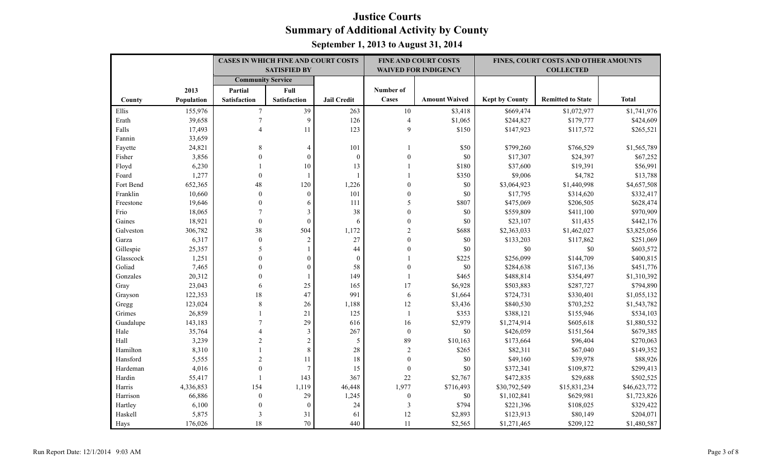|           |            | <b>CASES IN WHICH FINE AND COURT COSTS</b> |                     |                    |                  | <b>FINE AND COURT COSTS</b> |                       | FINES, COURT COSTS AND OTHER AMOUNTS |              |
|-----------|------------|--------------------------------------------|---------------------|--------------------|------------------|-----------------------------|-----------------------|--------------------------------------|--------------|
|           |            |                                            | <b>SATISFIED BY</b> |                    |                  | <b>WAIVED FOR INDIGENCY</b> |                       | <b>COLLECTED</b>                     |              |
|           |            | <b>Community Service</b>                   |                     |                    |                  |                             |                       |                                      |              |
|           | 2013       | Partial                                    | Full                |                    | Number of        |                             |                       |                                      |              |
| County    | Population | <b>Satisfaction</b>                        | Satisfaction        | <b>Jail Credit</b> | Cases            | <b>Amount Waived</b>        | <b>Kept by County</b> | <b>Remitted to State</b>             | <b>Total</b> |
| Ellis     | 155,976    | $\overline{7}$                             | 39                  | 263                | $10\,$           | \$3,418                     | \$669,474             | \$1,072,977                          | \$1,741,976  |
| Erath     | 39,658     | $\tau$                                     | 9                   | 126                | $\overline{4}$   | \$1,065                     | \$244,827             | \$179,777                            | \$424,609    |
| Falls     | 17,493     | 4                                          | 11                  | 123                | 9                | \$150                       | \$147,923             | \$117,572                            | \$265,521    |
| Fannin    | 33,659     |                                            |                     |                    |                  |                             |                       |                                      |              |
| Fayette   | 24,821     | 8                                          | $\overline{4}$      | 101                |                  | \$50                        | \$799,260             | \$766,529                            | \$1,565,789  |
| Fisher    | 3,856      | $\Omega$                                   | $\theta$            | $\boldsymbol{0}$   | $\Omega$         | \$0                         | \$17,307              | \$24,397                             | \$67,252     |
| Floyd     | 6,230      |                                            | 10                  | 13                 |                  | \$180                       | \$37,600              | \$19,391                             | \$56,991     |
| Foard     | 1,277      | $\mathbf{0}$                               |                     | $\overline{1}$     |                  | \$350                       | \$9,006               | \$4,782                              | \$13,788     |
| Fort Bend | 652,365    | 48                                         | 120                 | 1,226              | $\mathbf{0}$     | \$0                         | \$3,064,923           | \$1,440,998                          | \$4,657,508  |
| Franklin  | 10,660     | $\boldsymbol{0}$                           | $\boldsymbol{0}$    | 101                | $\boldsymbol{0}$ | $\$0$                       | \$17,795              | \$314,620                            | \$332,417    |
| Freestone | 19,646     | $\theta$                                   | 6                   | 111                | 5                | \$807                       | \$475,069             | \$206,505                            | \$628,474    |
| Frio      | 18,065     |                                            | 3                   | 38                 | $\theta$         | $\$0$                       | \$559,809             | \$411,100                            | \$970,909    |
| Gaines    | 18,921     | $\mathbf{0}$                               | $\mathbf{0}$        | 6                  | $\overline{0}$   | \$0                         | \$23,107              | \$11,435                             | \$442,176    |
| Galveston | 306,782    | 38                                         | 504                 | 1,172              | $\overline{c}$   | \$688                       | \$2,363,033           | \$1,462,027                          | \$3,825,056  |
| Garza     | 6,317      | $\mathbf{0}$                               | $\overline{2}$      | 27                 | 0                | \$0                         | \$133,203             | \$117,862                            | \$251,069    |
| Gillespie | 25,357     | 5                                          |                     | 44                 | $\overline{0}$   | $\$0$                       | \$0                   | \$0                                  | \$603,572    |
| Glasscock | 1,251      | $\theta$                                   | $\boldsymbol{0}$    | $\boldsymbol{0}$   |                  | \$225                       | \$256,099             | \$144,709                            | \$400,815    |
| Goliad    | 7,465      | $\Omega$                                   | $\theta$            | 58                 | $\theta$         | \$0                         | \$284,638             | \$167,136                            | \$451,776    |
| Gonzales  | 20,312     | $\Omega$                                   |                     | 149                | $\mathbf{1}$     | \$465                       | \$488,814             | \$354,497                            | \$1,310,392  |
| Gray      | 23,043     | 6                                          | 25                  | 165                | 17               | \$6,928                     | \$503,883             | \$287,727                            | \$794,890    |
| Grayson   | 122,353    | 18                                         | 47                  | 991                | $\sqrt{6}$       | \$1,664                     | \$724,731             | \$330,401                            | \$1,055,132  |
| Gregg     | 123,024    | 8                                          | 26                  | 1,188              | 12               | \$3,436                     | \$840,530             | \$703,252                            | \$1,543,782  |
| Grimes    | 26,859     |                                            | 21                  | 125                | -1               | \$353                       | \$388,121             | \$155,946                            | \$534,103    |
| Guadalupe | 143,183    |                                            | 29                  | 616                | 16               | \$2,979                     | \$1,274,914           | \$605,618                            | \$1,880,532  |
| Hale      | 35,764     |                                            | $\mathfrak{Z}$      | 267                | $\boldsymbol{0}$ | \$0                         | \$426,059             | \$151,564                            | \$679,385    |
| Hall      | 3,239      | $\mathfrak{D}$                             | $\mathbf{2}$        | 5                  | 89               | \$10,163                    | \$173,664             | \$96,404                             | \$270,063    |
| Hamilton  | 8,310      |                                            | $8\,$               | 28                 | $\overline{2}$   | \$265                       | \$82,311              | \$67,040                             | \$149,352    |
| Hansford  | 5,555      | $\overline{2}$                             | 11                  | 18                 | $\overline{0}$   | $\$0$                       | \$49,160              | \$39,978                             | \$88,926     |
| Hardeman  | 4,016      | $\theta$                                   | $\overline{7}$      | 15                 | $\boldsymbol{0}$ | \$0                         | \$372,341             | \$109,872                            | \$299,413    |
| Hardin    | 55,417     |                                            | 143                 | 367                | $22\,$           | \$2,767                     | \$472,835             | \$29,688                             | \$502,525    |
| Harris    | 4,336,853  | 154                                        | 1,119               | 46,448             | 1,977            | \$716,493                   | \$30,792,549          | \$15,831,234                         | \$46,623,772 |
| Harrison  | 66,886     | $\mathbf{0}$                               | 29                  | 1,245              | $\boldsymbol{0}$ | $\$0$                       | \$1,102,841           | \$629,981                            | \$1,723,826  |
| Hartley   | 6,100      | $\mathbf{0}$                               | $\boldsymbol{0}$    | 24                 | 3                | \$794                       | \$221,396             | \$108,025                            | \$329,422    |
| Haskell   | 5,875      | 3                                          | 31                  | 61                 | 12               | \$2,893                     | \$123,913             | \$80,149                             | \$204,071    |
| Hays      | 176,026    | 18                                         | 70                  | 440                | 11               | \$2,565                     | \$1,271,465           | \$209,122                            | \$1,480,587  |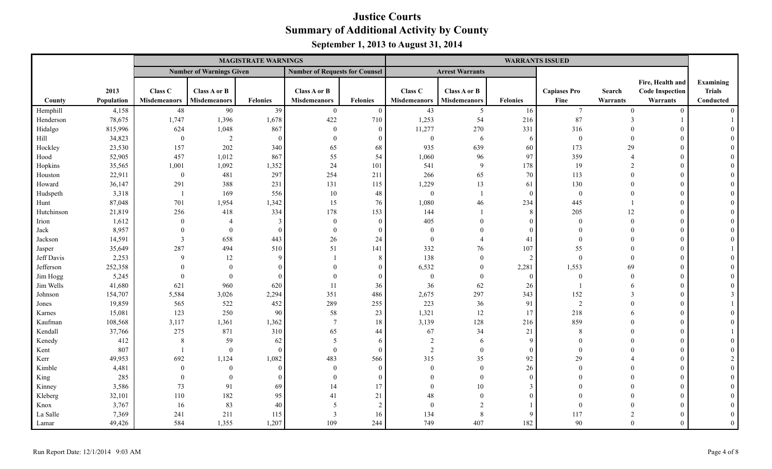|            |            |                     |                                 | <b>MAGISTRATE WARNINGS</b> |                                       |                 |                     |                        |                 | <b>WARRANTS ISSUED</b> |                          |                        |                |
|------------|------------|---------------------|---------------------------------|----------------------------|---------------------------------------|-----------------|---------------------|------------------------|-----------------|------------------------|--------------------------|------------------------|----------------|
|            |            |                     | <b>Number of Warnings Given</b> |                            | <b>Number of Requests for Counsel</b> |                 |                     | <b>Arrest Warrants</b> |                 |                        |                          |                        |                |
|            |            |                     |                                 |                            |                                       |                 |                     |                        |                 |                        |                          | Fire, Health and       | Examining      |
|            | 2013       | Class C             | Class A or B                    |                            | Class A or B                          |                 | Class <sub>C</sub>  | Class A or B           |                 | <b>Capiases Pro</b>    | Search                   | <b>Code Inspection</b> | <b>Trials</b>  |
| County     | Population | <b>Misdemeanors</b> | <b>Misdemeanors</b>             | <b>Felonies</b>            | <b>Misdemeanors</b>                   | <b>Felonies</b> | <b>Misdemeanors</b> | <b>Misdemeanors</b>    | <b>Felonies</b> | Fine                   | Warrants                 | Warrants               | Conducted      |
| Hemphill   | 4,158      | 48                  | 90                              | 39                         | $\overline{0}$                        | $\Omega$        | 43                  | $\overline{5}$         | 16              | $\tau$                 | $\theta$                 | $\theta$               | $\Omega$       |
| Henderson  | 78,675     | 1,747               | 1,396                           | 1,678                      | 422                                   | 710             | 1,253               | 54                     | 216             | 87                     |                          |                        |                |
| Hidalgo    | 815,996    | 624                 | 1,048                           | 867                        | $\theta$                              | $\Omega$        | 11,277              | 270                    | 331             | 316                    |                          | $\theta$               |                |
| Hill       | 34,823     | $\overline{0}$      | 2                               | $\Omega$                   | $\theta$                              | $\Omega$        | $\mathbf{0}$        | -6                     | 6               | $\boldsymbol{0}$       | $\Omega$                 | $\theta$               |                |
| Hockley    | 23,530     | 157                 | 202                             | 340                        | 65                                    | 68              | 935                 | 639                    | 60              | 173                    | 29                       | $\theta$               |                |
| Hood       | 52,905     | 457                 | 1,012                           | 867                        | 55                                    | 54              | 1,060               | 96                     | 97              | 359                    | $\boldsymbol{\varDelta}$ | $\overline{0}$         |                |
| Hopkins    | 35,565     | 1,001               | 1,092                           | 1,352                      | 24                                    | 101             | 541                 | 9                      | 178             | 19                     |                          | $\Omega$               |                |
| Houston    | 22,911     | $\overline{0}$      | 481                             | 297                        | 254                                   | 211             | 266                 | 65                     | 70              | 113                    | $\Omega$                 | $\theta$               |                |
| Howard     | 36,147     | 291                 | 388                             | 231                        | 131                                   | 115             | 1,229               | 13                     | 61              | 130                    | $\theta$                 | $\overline{0}$         |                |
| Hudspeth   | 3,318      | - 1                 | 169                             | 556                        | 10                                    | 48              | $\mathbf{0}$        |                        | $\overline{0}$  | $\boldsymbol{0}$       | $\Omega$                 | $\overline{0}$         |                |
| Hunt       | 87,048     | 701                 | 1,954                           | 1,342                      | 15                                    | 76              | 1,080               | 46                     | 234             | 445                    |                          | $\overline{0}$         |                |
| Hutchinson | 21,819     | 256                 | 418                             | 334                        | 178                                   | 153             | 144                 |                        | 8               | 205                    | 12                       | $\overline{0}$         |                |
| Irion      | 1,612      | $\Omega$            |                                 |                            | $\overline{0}$                        | $\Omega$        | 405                 |                        | $\overline{0}$  | $\Omega$               | $\Omega$                 | $\theta$               |                |
| Jack       | 8,957      | $\Omega$            | $\theta$                        |                            | $\theta$                              | $\Omega$        | $\Omega$            |                        | $\Omega$        | $\Omega$               |                          | $\overline{0}$         |                |
| Jackson    | 14,591     | $\mathbf{3}$        | 658                             | 443                        | 26                                    | 24              |                     |                        | 41              | $\Omega$               |                          | $\overline{0}$         |                |
| Jasper     | 35,649     | 287                 | 494                             | 510                        | 51                                    | 141             | 332                 | 76                     | 107             | 55                     |                          | $\overline{0}$         |                |
| Jeff Davis | 2,253      | 9                   | 12                              | $\Omega$                   |                                       | 8               | 138                 | $\mathbf{0}$           | 2               | $\Omega$               | $\Omega$                 | $\overline{0}$         |                |
| Jefferson  | 252,358    | $\Omega$            | $\Omega$                        |                            |                                       | $\Omega$        | 6,532               | $\Omega$               | 2,281           | 1,553                  | 69                       | $\overline{0}$         |                |
| Jim Hogg   | 5,245      | $\Omega$            | $\theta$                        |                            |                                       | $\Omega$        | $\Omega$            | $\Omega$               | $\Omega$        | $\mathbf{0}$           | $\theta$                 | $\Omega$               |                |
| Jim Wells  | 41,680     | 621                 | 960                             | 620                        | 11                                    | 36              | 36                  | 62                     | 26              |                        | -6                       | $\overline{0}$         |                |
| Johnson    | 154,707    | 5,584               | 3,026                           | 2,294                      | 351                                   | 486             | 2,675               | 297                    | 343             | 152                    | $\mathcal{E}$            | $\mathbf{0}$           |                |
| Jones      | 19,859     | 565                 | 522                             | 452                        | 289                                   | 255             | 223                 | 36                     | 91              | $\overline{2}$         | $\Omega$                 | $\mathbf{0}$           |                |
| Karnes     | 15,081     | 123                 | 250                             | 90                         | 58                                    | 23              | 1,321               | 12                     | 17              | 218                    |                          | $\theta$               |                |
| Kaufman    | 108,568    | 3,117               | 1,361                           | 1,362                      | $\overline{7}$                        | 18              | 3,139               | 128                    | 216             | 859                    | $\Omega$                 | $\Omega$               |                |
| Kendall    | 37,766     | 275                 | 871                             | 310                        | 65                                    | 44              | 67                  | 34                     | 21              | 8                      |                          | $\overline{0}$         |                |
| Kenedy     | 412        | $\,8\,$             | 59                              | 62                         | 5                                     | 6               | 2                   | 6                      | 9               | $\Omega$               |                          | $\overline{0}$         |                |
| Kent       | 807        |                     | $\mathbf{0}$                    | $\Omega$                   | $\theta$                              | $\Omega$        | $\overline{2}$      | $\Omega$               | $\mathbf{0}$    | $\Omega$               |                          | $\overline{0}$         |                |
| Kerr       | 49,953     | 692                 | 1,124                           | 1,082                      | 483                                   | 566             | 315                 | 35                     | 92              | 29                     |                          | $\overline{0}$         |                |
| Kimble     | 4,481      | $\Omega$            | $\theta$                        |                            | $\theta$                              | $\Omega$        | $\Omega$            | $\theta$               | 26              | $\theta$               | $\Omega$                 | $\theta$               |                |
| King       | 285        | $\theta$            | $\theta$                        |                            | $\Omega$                              | $\Omega$        |                     | $\Omega$               | $\Omega$        | $\Omega$               | $\Omega$                 | $\theta$               |                |
| Kinney     | 3,586      | 73                  | 91                              | 69                         | 14                                    | 17              |                     | 10                     | $\overline{3}$  |                        | $\Omega$                 | $\overline{0}$         |                |
| Kleberg    | 32,101     | 110                 | 182                             | 95                         | 41                                    | 21              | 48                  | $\Omega$               | $\overline{0}$  |                        |                          | $\overline{0}$         |                |
| Knox       | 3,767      | 16                  | 83                              | 40                         | 5                                     | $\overline{2}$  | $\Omega$            | $\mathfrak{D}$         |                 | $\Omega$               |                          | $\theta$               |                |
| La Salle   | 7,369      | 241                 | 211                             | 115                        | 3                                     | 16              | 134                 | 8                      | 9               | 117                    |                          | $\theta$               |                |
| Lamar      | 49,426     | 584                 | 1,355                           | 1,207                      | 109                                   | 244             | 749                 | 407                    | 182             | 90                     | $\Omega$                 | $\Omega$               | $\overline{0}$ |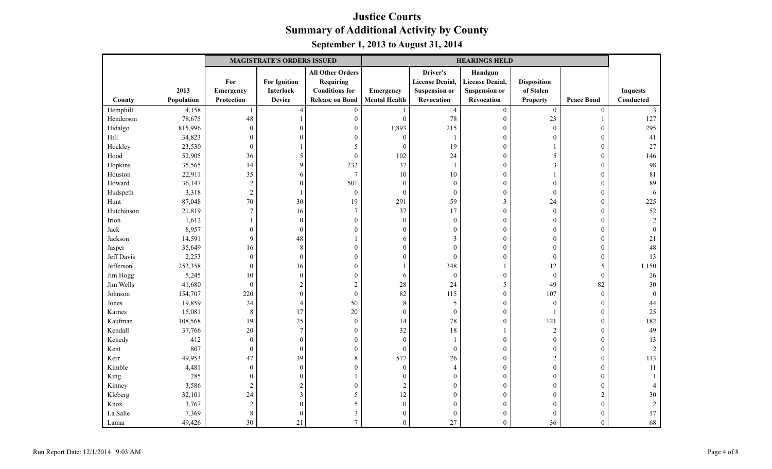|            |            |                  | <b>MAGISTRATE'S ORDERS ISSUED</b> |                         | <b>HEARINGS HELD</b> |                        |                        |                    |                   |                 |
|------------|------------|------------------|-----------------------------------|-------------------------|----------------------|------------------------|------------------------|--------------------|-------------------|-----------------|
|            |            |                  |                                   | <b>All Other Orders</b> |                      | Driver's               | Handgun                |                    |                   |                 |
|            |            | For              | <b>For Ignition</b>               | <b>Requiring</b>        |                      | <b>License Denial,</b> | <b>License Denial,</b> | <b>Disposition</b> |                   |                 |
|            | 2013       | Emergency        | Interlock                         | <b>Conditions</b> for   | Emergency            | <b>Suspension or</b>   | <b>Suspension or</b>   | of Stolen          |                   | <b>Inquests</b> |
| County     | Population | Protection       | <b>Device</b>                     | <b>Release on Bond</b>  | <b>Mental Health</b> | Revocation             | Revocation             | <b>Property</b>    | <b>Peace Bond</b> | Conducted       |
| Hemphill   | 4,158      |                  | $\overline{4}$                    | $\boldsymbol{0}$        |                      | $\overline{4}$         | $\boldsymbol{0}$       | $\boldsymbol{0}$   | $\boldsymbol{0}$  | 3               |
| Henderson  | 78,675     | 48               |                                   | $\boldsymbol{0}$        | $\boldsymbol{0}$     | 78                     | $\mathbf{0}$           | 23                 |                   | 127             |
| Hidalgo    | 815,996    | $\mathbf{0}$     |                                   | $\boldsymbol{0}$        | 1,893                | 215                    | $\boldsymbol{0}$       | $\mathbf{0}$       | $\theta$          | 295             |
| Hill       | 34,823     | $\boldsymbol{0}$ | $\sqrt{ }$                        | $\boldsymbol{0}$        | $\boldsymbol{0}$     | $\overline{1}$         | $\boldsymbol{0}$       | $\boldsymbol{0}$   | $\boldsymbol{0}$  | 41              |
| Hockley    | 23,530     | $\mathbf{0}$     |                                   | 5                       | $\mathbf{0}$         | 19                     | $\boldsymbol{0}$       | 1                  | $\theta$          | 27              |
| Hood       | 52,905     | 36               | 5                                 | $\boldsymbol{0}$        | 102                  | 24                     | $\boldsymbol{0}$       | 5                  | $\mathbf{0}$      | 146             |
| Hopkins    | 35,565     | 14               | 9                                 | 232                     | 37                   |                        | $\boldsymbol{0}$       | $\mathfrak{Z}$     | $\mathbf{0}$      | 98              |
| Houston    | 22,911     | 35               | 6                                 | $\tau$                  | 10                   | 10                     | $\mathbf{0}$           | 1                  | $\theta$          | 81              |
| Howard     | 36,147     | $\sqrt{2}$       | $\theta$                          | 501                     | $\boldsymbol{0}$     | $\overline{0}$         | $\boldsymbol{0}$       | $\boldsymbol{0}$   | $\mathbf{0}$      | 89              |
| Hudspeth   | 3,318      | $\sqrt{2}$       |                                   | $\boldsymbol{0}$        | $\boldsymbol{0}$     | $\overline{0}$         | $\boldsymbol{0}$       | $\boldsymbol{0}$   | $\boldsymbol{0}$  | 6               |
| Hunt       | 87,048     | 70               | 30                                | 19                      | 291                  | 59                     | 3                      | 24                 | $\theta$          | 225             |
| Hutchinson | 21,819     | $\boldsymbol{7}$ | 16                                | $\boldsymbol{7}$        | 37                   | 17                     | $\boldsymbol{0}$       | $\boldsymbol{0}$   | $\mathbf{0}$      | 52              |
| Irion      | 1,612      | 1                | $\sqrt{ }$                        | $\boldsymbol{0}$        | $\boldsymbol{0}$     | $\theta$               | $\boldsymbol{0}$       | $\boldsymbol{0}$   | $\theta$          | $\mathfrak{D}$  |
| Jack       | 8,957      | $\mathbf{0}$     | $\overline{0}$                    | $\mathbf{0}$            | $\mathbf{0}$         | $\Omega$               | $\mathbf{0}$           | $\overline{0}$     | $\mathbf{0}$      |                 |
| Jackson    | 14,591     | 9                | 48                                | 1                       | 6                    | 3                      | $\boldsymbol{0}$       | $\overline{0}$     | $\mathbf{0}$      | 21              |
| Jasper     | 35,649     | 16               | 8                                 | $\boldsymbol{0}$        | $\Omega$             | $\Omega$               | $\mathbf{0}$           | $\overline{0}$     | $\mathbf{0}$      | 48              |
| Jeff Davis | 2,253      | $\mathbf{0}$     | $\overline{0}$                    | $\boldsymbol{0}$        | $\theta$             | $\theta$               | $\boldsymbol{0}$       | $\overline{0}$     | $\boldsymbol{0}$  | 13              |
| Jefferson  | 252,358    | $\boldsymbol{0}$ | 16                                | $\boldsymbol{0}$        |                      | 348                    |                        | 12                 | 5                 | 1,150           |
| Jim Hogg   | 5,245      | 10               | $\theta$                          | $\boldsymbol{0}$        | 6                    | $\overline{0}$         | $\boldsymbol{0}$       | $\boldsymbol{0}$   | $\overline{0}$    | $26\,$          |
| Jim Wells  | 41,680     | $\mathbf{0}$     | $\overline{2}$                    | $\sqrt{2}$              | 28                   | 24                     | 5                      | 49                 | 82                | 30              |
| Johnson    | 154,707    | 220              | $\overline{0}$                    | $\boldsymbol{0}$        | 82                   | 115                    | $\boldsymbol{0}$       | 107                | $\mathbf{0}$      | $\theta$        |
| Jones      | 19,859     | 24               | $\overline{4}$                    | 50                      | 8                    | 5                      | $\boldsymbol{0}$       | $\mathbf{0}$       | $\boldsymbol{0}$  | 44              |
| Karnes     | 15,081     | $\,8\,$          | 17                                | 20                      | $\boldsymbol{0}$     | $\overline{0}$         | $\boldsymbol{0}$       | 1                  | $\boldsymbol{0}$  | 25              |
| Kaufman    | 108,568    | 19               | 25                                | $\boldsymbol{0}$        | 14                   | 78                     | $\boldsymbol{0}$       | 121                | $\mathbf{0}$      | 182             |
| Kendall    | 37,766     | 20               | $\overline{7}$                    | $\overline{0}$          | 32                   | 18                     |                        | $\sqrt{2}$         | $\theta$          | 49              |
| Kenedy     | 412        | $\mathbf{0}$     | $\theta$                          | $\boldsymbol{0}$        | $\boldsymbol{0}$     |                        | $\boldsymbol{0}$       | $\mathbf{0}$       | $\mathbf{0}$      | 13              |
| Kent       | 807        | $\boldsymbol{0}$ | $\theta$                          | $\boldsymbol{0}$        | $\boldsymbol{0}$     | $\theta$               | $\boldsymbol{0}$       | $\boldsymbol{0}$   | $\boldsymbol{0}$  | 2               |
| Kerr       | 49,953     | 47               | 39                                | $\,8\,$                 | 577                  | 26                     | $\boldsymbol{0}$       | 2                  | $\boldsymbol{0}$  | 113             |
| Kimble     | 4,481      | $\mathbf{0}$     | $\theta$                          | $\boldsymbol{0}$        | $\mathbf{0}$         | $\overline{4}$         | $\boldsymbol{0}$       | $\mathbf{0}$       | $\boldsymbol{0}$  | 11              |
| King       | 285        | $\boldsymbol{0}$ | $\Omega$                          | 1                       | $\mathbf{0}$         | $\Omega$               | $\mathbf{0}$           | $\Omega$           | $\Omega$          |                 |
| Kinney     | 3,586      | $\overline{c}$   | $\overline{2}$                    | $\overline{0}$          | $\sqrt{2}$           | $\Omega$               | $\boldsymbol{0}$       | $\overline{0}$     | $\theta$          |                 |
| Kleberg    | 32,101     | 24               | 3                                 | $\mathfrak{S}$          | 12                   | $\Omega$               | $\boldsymbol{0}$       | $\overline{0}$     | $\sqrt{2}$        | 30              |
| Knox       | 3,767      | $\overline{2}$   | $\theta$                          | 5                       | $\mathbf{0}$         | $\Omega$               | $\mathbf{0}$           | $\overline{0}$     | $\mathbf{0}$      | 2               |
| La Salle   | 7,369      | 8                | $\bf{0}$                          | $\mathfrak{Z}$          | $\Omega$             | $\Omega$               | $\boldsymbol{0}$       | $\overline{0}$     | $\boldsymbol{0}$  | 17              |
| Lamar      | 49,426     | 30               | 21                                | $\boldsymbol{7}$        | $\overline{0}$       | 27                     | $\mathbf{0}$           | 36                 | $\mathbf{0}$      | 68              |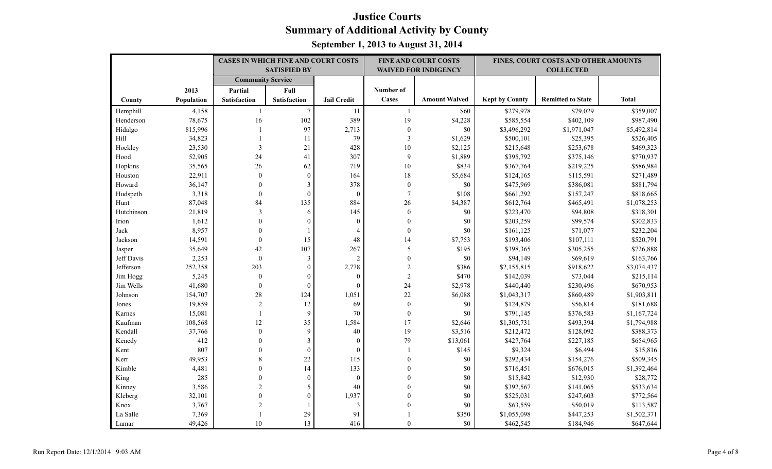|            |            | CASES IN WHICH FINE AND COURT COSTS |                         |                    |                  | <b>FINE AND COURT COSTS</b> |                       | FINES, COURT COSTS AND OTHER AMOUNTS |              |
|------------|------------|-------------------------------------|-------------------------|--------------------|------------------|-----------------------------|-----------------------|--------------------------------------|--------------|
|            |            |                                     | <b>SATISFIED BY</b>     |                    |                  | <b>WAIVED FOR INDIGENCY</b> |                       | <b>COLLECTED</b>                     |              |
|            |            | <b>Community Service</b>            |                         |                    |                  |                             |                       |                                      |              |
|            | 2013       | Partial                             | Full                    |                    | Number of        |                             |                       |                                      |              |
| County     | Population | Satisfaction                        | <b>Satisfaction</b>     | <b>Jail Credit</b> | Cases            | <b>Amount Waived</b>        | <b>Kept by County</b> | <b>Remitted to State</b>             | <b>Total</b> |
| Hemphill   | 4,158      | -1                                  | $\boldsymbol{7}$        | 11                 | -1               | \$60                        | \$279,978             | \$79,029                             | \$359,007    |
| Henderson  | 78,675     | 16                                  | 102                     | 389                | 19               | \$4,228                     | \$585,554             | \$402,109                            | \$987,490    |
| Hidalgo    | 815,996    |                                     | 97                      | 2,713              | $\boldsymbol{0}$ | \$0                         | \$3,496,292           | \$1,971,047                          | \$5,492,814  |
| Hill       | 34,823     |                                     | 11                      | 79                 | $\mathfrak{Z}$   | \$1,629                     | \$500,101             | \$25,395                             | \$526,405    |
| Hockley    | 23,530     | 3                                   | 21                      | 428                | 10               | \$2,125                     | \$215,648             | \$253,678                            | \$469,323    |
| Hood       | 52,905     | 24                                  | 41                      | 307                | 9                | \$1,889                     | \$395,792             | \$375,146                            | \$770,937    |
| Hopkins    | 35,565     | 26                                  | 62                      | 719                | 10               | \$834                       | \$367,764             | \$219,225                            | \$586,984    |
| Houston    | 22,911     | $\mathbf{0}$                        | $\mathbf{0}$            | 164                | 18               | \$5,684                     | \$124,165             | \$115,591                            | \$271,489    |
| Howard     | 36,147     | $\theta$                            | $\mathfrak{Z}$          | 378                | $\boldsymbol{0}$ | \$0                         | \$475,969             | \$386,081                            | \$881,794    |
| Hudspeth   | 3,318      | $\Omega$                            | $\boldsymbol{0}$        | $\boldsymbol{0}$   | $\boldsymbol{7}$ | \$108                       | \$661,292             | \$157,247                            | \$818,665    |
| Hunt       | 87,048     | 84                                  | 135                     | 884                | 26               | \$4,387                     | \$612,764             | \$465,491                            | \$1,078,253  |
| Hutchinson | 21,819     | 3                                   | 6                       | 145                | $\boldsymbol{0}$ | \$0                         | \$223,470             | \$94,808                             | \$318,301    |
| Irion      | 1,612      | $\Omega$                            | $\theta$                | $\overline{0}$     | $\mathbf{0}$     | \$0                         | \$203,259             | \$99,574                             | \$302,833    |
| Jack       | 8,957      | $\Omega$                            |                         | $\overline{4}$     | $\boldsymbol{0}$ | \$0                         | \$161,125             | \$71,077                             | \$232,204    |
| Jackson    | 14,591     | $\theta$                            | 15                      | 48                 | 14               | \$7,753                     | \$193,406             | \$107,111                            | \$520,791    |
| Jasper     | 35,649     | 42                                  | 107                     | 267                | 5                | \$195                       | \$398,365             | \$305,255                            | \$726,888    |
| Jeff Davis | 2,253      | $\overline{0}$                      | $\mathfrak{Z}$          | $\overline{2}$     | $\boldsymbol{0}$ | \$0                         | \$94,149              | \$69,619                             | \$163,766    |
| Jefferson  | 252,358    | 203                                 | $\boldsymbol{0}$        | 2,778              | $\sqrt{2}$       | \$386                       | \$2,155,815           | \$918,622                            | \$3,074,437  |
| Jim Hogg   | 5,245      | $\mathbf{0}$                        | $\theta$                | $\theta$           | $\overline{2}$   | \$470                       | \$142,039             | \$73,044                             | \$215,114    |
| Jim Wells  | 41,680     | $\mathbf{0}$                        | $\mathbf{0}$            | $\overline{0}$     | 24               | \$2,978                     | \$440,440             | \$230,496                            | \$670,953    |
| Johnson    | 154,707    | 28                                  | 124                     | 1,051              | 22               | \$6,088                     | \$1,043,317           | \$860,489                            | \$1,903,811  |
| Jones      | 19,859     | $\sqrt{2}$                          | 12                      | 69                 | $\boldsymbol{0}$ | \$0                         | \$124,879             | \$56,814                             | \$181,688    |
| Karnes     | 15,081     | $\mathbf{1}$                        | 9                       | 70                 | $\mathbf{0}$     | \$0                         | \$791,145             | \$376,583                            | \$1,167,724  |
| Kaufman    | 108,568    | 12                                  | 35                      | 1,584              | 17               | \$2,646                     | \$1,305,731           | \$493,394                            | \$1,794,988  |
| Kendall    | 37,766     | $\theta$                            | 9                       | 40                 | 19               | \$3,516                     | \$212,472             | \$128,092                            | \$388,373    |
| Kenedy     | 412        |                                     | $\overline{\mathbf{3}}$ | $\boldsymbol{0}$   | 79               | \$13,061                    | \$427,764             | \$227,185                            | \$654,965    |
| Kent       | 807        |                                     | $\mathbf{0}$            | $\boldsymbol{0}$   | -1               | \$145                       | \$9,324               | \$6,494                              | \$15,816     |
| Kerr       | 49,953     |                                     | 22                      | 115                | $\mathbf{0}$     | \$0                         | \$292,434             | \$154,276                            | \$509,345    |
| Kimble     | 4,481      |                                     | 14                      | 133                | $\mathbf{0}$     | \$0                         | \$716,451             | \$676,015                            | \$1,392,464  |
| King       | 285        |                                     | $\mathbf{0}$            | $\boldsymbol{0}$   | $\Omega$         | \$0                         | \$15,842              | \$12,930                             | \$28,772     |
| Kinney     | 3,586      |                                     | 5                       | 40                 | $\Omega$         | \$0                         | \$392,567             | \$141,065                            | \$533,634    |
| Kleberg    | 32,101     |                                     | $\boldsymbol{0}$        | 1,937              | $\theta$         | \$0                         | \$525,031             | \$247,603                            | \$772,564    |
| Knox       | 3,767      |                                     |                         | 3                  | $\theta$         | \$0                         | \$63,559              | \$50,019                             | \$113,587    |
| La Salle   | 7,369      |                                     | 29                      | 91                 |                  | \$350                       | \$1,055,098           | \$447,253                            | \$1,502,371  |
| Lamar      | 49,426     | 10                                  | 13                      | 416                | $\theta$         | \$0                         | \$462,545             | \$184,946                            | \$647,644    |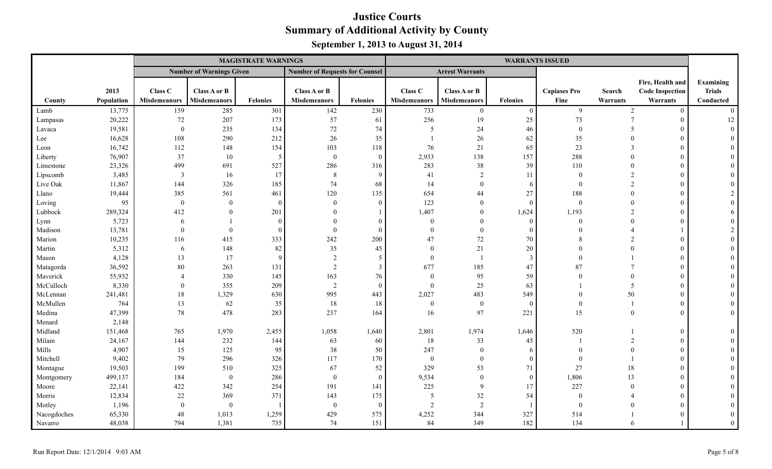|             |            |                     | <b>MAGISTRATE WARNINGS</b>      |                 |                                       |                 |                     |                        |                 | <b>WARRANTS ISSUED</b> |                           |                        |                |
|-------------|------------|---------------------|---------------------------------|-----------------|---------------------------------------|-----------------|---------------------|------------------------|-----------------|------------------------|---------------------------|------------------------|----------------|
|             |            |                     | <b>Number of Warnings Given</b> |                 | <b>Number of Requests for Counsel</b> |                 |                     | <b>Arrest Warrants</b> |                 |                        |                           |                        |                |
|             |            |                     |                                 |                 |                                       |                 |                     |                        |                 |                        |                           | Fire, Health and       | Examining      |
|             | 2013       | Class C             | Class A or B                    |                 | Class A or B                          |                 | Class C             | Class A or B           |                 | <b>Capiases Pro</b>    | Search                    | <b>Code Inspection</b> | <b>Trials</b>  |
| County      | Population | <b>Misdemeanors</b> | <b>Misdemeanors</b>             | <b>Felonies</b> | <b>Misdemeanors</b>                   | <b>Felonies</b> | <b>Misdemeanors</b> | <b>Misdemeanors</b>    | <b>Felonies</b> | Fine                   | Warrants                  | Warrants               | Conducted      |
| Lamb        | 13,775     | 159                 | 285                             | 301             | 142                                   | 230             | 733                 | $\overline{0}$         | $\theta$        | 9                      | $\overline{2}$            | $\theta$               | $\theta$       |
| Lampasas    | 20,222     | 72                  | 207                             | 173             | 57                                    | 61              | 256                 | 19                     | 25              | 73                     | $\overline{7}$            | $\theta$               | 12             |
| Lavaca      | 19,581     | $\mathbf{0}$        | 235                             | 134             | $72\,$                                | 74              | 5                   | 24                     | 46              | $\mathbf{0}$           | -5                        | $\Omega$               | $\Omega$       |
| Lee         | 16,628     | 108                 | 290                             | 212             | 26                                    | 35              |                     | $26\,$                 | 62              | 35                     | $\theta$                  | $\Omega$               |                |
| Leon        | 16,742     | 112                 | 148                             | 154             | 103                                   | 118             | 76                  | 21                     | 65              | 23                     | $\mathcal{E}$             | $\Omega$               |                |
| Liberty     | 76,907     | 37                  | 10                              | 5               | $\boldsymbol{0}$                      | $\Omega$        | 2,933               | 138                    | 157             | 288                    | $\theta$                  | $\Omega$               |                |
| Limestone   | 23,326     | 499                 | 691                             | 527             | 286                                   | 316             | 283                 | 38                     | 39              | 110                    | $\theta$                  | $\Omega$               |                |
| Lipscomb    | 3,485      | $\mathbf{3}$        | 16                              | 17              | $\,8\,$                               | 9               | 41                  | $\overline{2}$         | 11              | $\theta$               | $\overline{2}$            | $\Omega$               |                |
| Live Oak    | 11,867     | 144                 | 326                             | 185             | 74                                    | 68              | 14                  | $\overline{0}$         | 6               | $\theta$               | 2                         | $\Omega$               |                |
| Llano       | 19,444     | 385                 | 561                             | 461             | 120                                   | 135             | 654                 | 44                     | $27\,$          | 188                    | $\theta$                  | $\Omega$               |                |
| Loving      | 95         | $\overline{0}$      | $\overline{0}$                  | $\Omega$        | $\mathbf{0}$                          | $\Omega$        | 123                 | $\mathbf{0}$           | $\overline{0}$  | $\mathbf{0}$           | $\Omega$                  | $\Omega$               |                |
| Lubbock     | 289,324    | 412                 | $\Omega$                        | 201             | $\Omega$                              |                 | 1,407               | $\theta$               | 1,624           | 1,193                  | $\mathfrak{D}$            | $\Omega$               |                |
| Lynn        | 5,723      | 6                   |                                 | $\Omega$        | $\Omega$                              |                 | $\theta$            | $\Omega$               | $\Omega$        | $\Omega$               | $\Omega$                  |                        |                |
| Madison     | 13,781     | $\theta$            | $\theta$                        | $\Omega$        | $\theta$                              |                 | $\theta$            | $\theta$               | $\theta$        | $\Omega$               | $\boldsymbol{\varLambda}$ |                        |                |
| Marion      | 10,235     | 116                 | 415                             | 333             | 242                                   | 200             | 47                  | 72                     | 70              | 8                      |                           | $\Omega$               |                |
| Martin      | 5,312      | 6                   | 148                             | 82              | 35                                    | 45              | $\theta$            | 21                     | 20              |                        |                           | $\Omega$               |                |
| Mason       | 4,128      | 13                  | 17                              | $\mathbf Q$     | 2                                     | 5               | $\mathbf{0}$        | $\overline{1}$         | $\mathbf{3}$    | $\Omega$               |                           | $\Omega$               |                |
| Matagorda   | 36,592     | 80                  | 263                             | 131             | 2                                     | $\overline{3}$  | 677                 | 185                    | 47              | 87                     |                           | $\Omega$               |                |
| Maverick    | 55,932     | $\overline{4}$      | 330                             | 145             | 163                                   | 76              | $\mathbf{0}$        | 95                     | 59              | $\Omega$               | $\Omega$                  | $\Omega$               |                |
| McCulloch   | 8,330      | $\theta$            | 355                             | 209             | $\overline{2}$                        | $\Omega$        | $\mathbf{0}$        | 25                     | 63              |                        | 5                         | $\Omega$               |                |
| McLennan    | 241,481    | 18                  | 1,329                           | 630             | 995                                   | 443             | 2,027               | 483                    | 549             | $\theta$               | 50                        | $\theta$               |                |
| McMullen    | 764        | 13                  | 62                              | 35              | 18                                    | 18              | $\overline{0}$      | $\mathbf{0}$           | $\overline{0}$  | $\Omega$               | $\overline{1}$            | $\theta$               |                |
| Medina      | 47,399     | 78                  | 478                             | 283             | 237                                   | 164             | 16                  | 97                     | 221             | 15                     | $\mathbf{0}$              | $\Omega$               | $\theta$       |
| Menard      | 2,148      |                     |                                 |                 |                                       |                 |                     |                        |                 |                        |                           |                        |                |
| Midland     | 151,468    | 765                 | 1,970                           | 2,455           | 1,058                                 | 1,640           | 2,801               | 1,974                  | 1,646           | 520                    |                           | $\Omega$               |                |
| Milam       | 24,167     | 144                 | 232                             | 144             | 63                                    | 60              | 18                  | 33                     | 45              |                        | $\overline{2}$            | $\Omega$               |                |
| Mills       | 4,907      | 15                  | 125                             | 95              | $38\,$                                | 50              | 247                 | $\overline{0}$         | 6               | $\Omega$               | $\Omega$                  | $\Omega$               |                |
| Mitchell    | 9,402      | 79                  | 296                             | 326             | 117                                   | 170             | $\bf{0}$            | $\overline{0}$         | $\overline{0}$  | $\Omega$               |                           | $\Omega$               |                |
| Montague    | 19,503     | 199                 | 510                             | 325             | 67                                    | 52              | 329                 | 53                     | 71              | 27                     | 18                        | $\Omega$               |                |
| Montgomery  | 499,137    | 184                 | $\mathbf{0}$                    | 286             | $\bf{0}$                              | $\sqrt{ }$      | 9,534               | $\mathbf{0}$           | $\theta$        | 1,806                  | 13                        | $\Omega$               |                |
| Moore       | 22,141     | 422                 | 342                             | 254             | 191                                   | 141             | 225                 | 9                      | 17              | 227                    | $\theta$                  | $\Omega$               |                |
| Morris      | 12,834     | 22                  | 369                             | 371             | 143                                   | 175             | 5                   | 32                     | 54              | $\Omega$               |                           | $\Omega$               |                |
| Motley      | 1,196      | $\overline{0}$      | $\boldsymbol{0}$                |                 | $\bf{0}$                              | $\Omega$        | 2                   | 2                      |                 | $\theta$               |                           | $\theta$               |                |
| Nacogdoches | 65,330     | 48                  | 1,013                           | 1,259           | 429                                   | 575             | 4,252               | 344                    | 327             | 514                    |                           |                        |                |
| Navarro     | 48,038     | 794                 | 1,381                           | 735             | 74                                    | 151             | 84                  | 349                    | 182             | 134                    | 6                         |                        | $\overline{0}$ |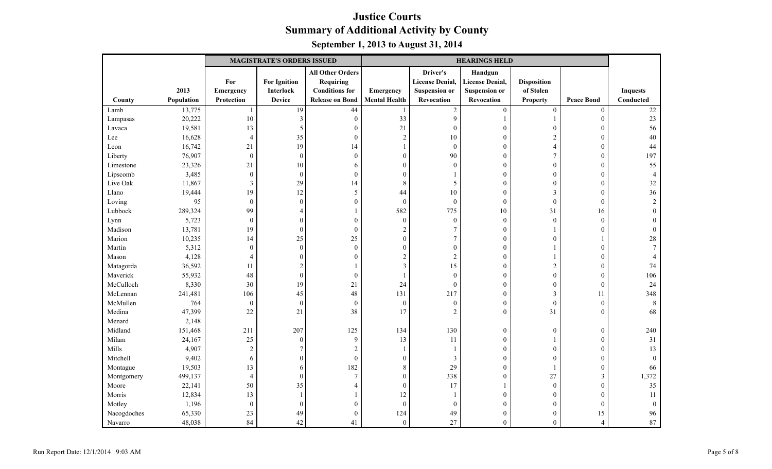|             |            |                  | <b>MAGISTRATE'S ORDERS ISSUED</b> |                         | <b>HEARINGS HELD</b> |                        |                        |                    |                   |                 |
|-------------|------------|------------------|-----------------------------------|-------------------------|----------------------|------------------------|------------------------|--------------------|-------------------|-----------------|
|             |            |                  |                                   | <b>All Other Orders</b> |                      | Driver's               | Handgun                |                    |                   |                 |
|             |            | For              | <b>For Ignition</b>               | <b>Requiring</b>        |                      | <b>License Denial,</b> | <b>License Denial,</b> | <b>Disposition</b> |                   |                 |
|             | 2013       | Emergency        | <b>Interlock</b>                  | <b>Conditions for</b>   | Emergency            | <b>Suspension or</b>   | <b>Suspension or</b>   | of Stolen          |                   | <b>Inquests</b> |
| County      | Population | Protection       | <b>Device</b>                     | <b>Release on Bond</b>  | <b>Mental Health</b> | Revocation             | Revocation             | <b>Property</b>    | <b>Peace Bond</b> | Conducted       |
| Lamb        | 13,775     | $\mathbf{1}$     | 19                                | 44                      | $\mathbf{1}$         | $\sqrt{2}$             | $\boldsymbol{0}$       | $\mathbf{0}$       | $\boldsymbol{0}$  | $22\,$          |
| Lampasas    | 20,222     | 10               | 3                                 | $\boldsymbol{0}$        | 33                   | 9                      | $\mathbf{1}$           |                    | $\mathbf{0}$      | 23              |
| Lavaca      | 19,581     | 13               | 5                                 | $\boldsymbol{0}$        | 21                   | $\theta$               | $\boldsymbol{0}$       | $\theta$           | $\boldsymbol{0}$  | 56              |
| Lee         | 16,628     | $\overline{4}$   | 35                                | $\boldsymbol{0}$        | $\sqrt{2}$           | 10                     | $\mathbf{0}$           | $\overline{2}$     | $\theta$          | 40              |
| Leon        | 16,742     | 21               | 19                                | 14                      |                      | $\boldsymbol{0}$       | $\boldsymbol{0}$       | $\overline{4}$     | $\boldsymbol{0}$  | 44              |
| Liberty     | 76,907     | $\boldsymbol{0}$ | $\boldsymbol{0}$                  | $\boldsymbol{0}$        | $\boldsymbol{0}$     | 90                     | $\boldsymbol{0}$       | 7                  | $\mathbf{0}$      | 197             |
| Limestone   | 23,326     | 21               | 10                                | 6                       | $\mathbf{0}$         | $\theta$               | $\mathbf{0}$           | $\mathbf{0}$       | $\theta$          | 55              |
| Lipscomb    | 3,485      | $\boldsymbol{0}$ | $\boldsymbol{0}$                  | $\boldsymbol{0}$        | $\boldsymbol{0}$     |                        | $\boldsymbol{0}$       | $\mathbf{0}$       | $\mathbf{0}$      |                 |
| Live Oak    | 11,867     | $\mathfrak{Z}$   | 29                                | 14                      | $\,8\,$              | 5                      | $\boldsymbol{0}$       | $\Omega$           | $\boldsymbol{0}$  | 32              |
| Llano       | 19,444     | 19               | 12                                | 5                       | 44                   | 10                     | $\boldsymbol{0}$       | 3                  | $\boldsymbol{0}$  | 36              |
| Loving      | 95         | $\boldsymbol{0}$ | $\boldsymbol{0}$                  | $\boldsymbol{0}$        | $\boldsymbol{0}$     | $\boldsymbol{0}$       | $\boldsymbol{0}$       | $\boldsymbol{0}$   | $\boldsymbol{0}$  | $\overline{2}$  |
| Lubbock     | 289,324    | 99               | $\overline{4}$                    | 1                       | 582                  | 775                    | 10                     | 31                 | 16                |                 |
| Lynn        | 5,723      | $\boldsymbol{0}$ | $\boldsymbol{0}$                  | $\boldsymbol{0}$        | $\boldsymbol{0}$     | $\boldsymbol{0}$       | $\boldsymbol{0}$       | $\mathbf{0}$       | $\overline{0}$    |                 |
| Madison     | 13,781     | 19               | $\boldsymbol{0}$                  | $\boldsymbol{0}$        | $\sqrt{2}$           | $\overline{7}$         | $\boldsymbol{0}$       |                    | $\theta$          | $\Omega$        |
| Marion      | 10,235     | 14               | 25                                | 25                      | $\boldsymbol{0}$     | 7                      | $\boldsymbol{0}$       | $\Omega$           |                   | 28              |
| Martin      | 5,312      | $\boldsymbol{0}$ | $\boldsymbol{0}$                  | $\boldsymbol{0}$        | $\boldsymbol{0}$     | $\boldsymbol{0}$       | $\boldsymbol{0}$       |                    | $\boldsymbol{0}$  |                 |
| Mason       | 4,128      | $\overline{4}$   | $\boldsymbol{0}$                  | $\boldsymbol{0}$        | $\sqrt{2}$           | $\overline{2}$         | $\boldsymbol{0}$       |                    | $\boldsymbol{0}$  |                 |
| Matagorda   | 36,592     | 11               | $\overline{2}$                    | 1                       | $\overline{3}$       | 15                     | $\boldsymbol{0}$       | $\overline{2}$     | $\theta$          | 74              |
| Maverick    | 55,932     | 48               | $\boldsymbol{0}$                  | $\boldsymbol{0}$        |                      | $\overline{0}$         | $\boldsymbol{0}$       | $\boldsymbol{0}$   | $\mathbf{0}$      | 106             |
| McCulloch   | 8,330      | 30               | 19                                | 21                      | 24                   | $\theta$               | $\mathbf{0}$           | $\overline{0}$     | $\theta$          | 24              |
| McLennan    | 241,481    | 106              | 45                                | 48                      | 131                  | 217                    | $\boldsymbol{0}$       | $\mathfrak{Z}$     | 11                | 348             |
| McMullen    | 764        | $\boldsymbol{0}$ | $\boldsymbol{0}$                  | $\boldsymbol{0}$        | $\boldsymbol{0}$     | $\boldsymbol{0}$       | $\boldsymbol{0}$       | $\boldsymbol{0}$   | $\boldsymbol{0}$  | 8               |
| Medina      | 47,399     | 22               | 21                                | 38                      | 17                   | $\overline{2}$         | $\mathbf{0}$           | 31                 | $\mathbf{0}$      | 68              |
| Menard      | 2,148      |                  |                                   |                         |                      |                        |                        |                    |                   |                 |
| Midland     | 151,468    | 211              | 207                               | 125                     | 134                  | 130                    | $\mathbf{0}$           | $\mathbf{0}$       | $\theta$          | 240             |
| Milam       | 24,167     | 25               | $\boldsymbol{0}$                  | $\overline{9}$          | 13                   | 11                     | $\boldsymbol{0}$       |                    | $\theta$          | 31              |
| Mills       | 4,907      | $\sqrt{2}$       | $\overline{7}$                    | $\sqrt{2}$              | $\mathbf{1}$         |                        | $\boldsymbol{0}$       | $\mathbf{0}$       | $\boldsymbol{0}$  | 13              |
| Mitchell    | 9,402      | 6                | $\boldsymbol{0}$                  | $\boldsymbol{0}$        | $\boldsymbol{0}$     | 3                      | $\boldsymbol{0}$       | $\mathbf{0}$       | $\mathbf{0}$      | $\theta$        |
| Montague    | 19,503     | 13               | 6                                 | 182                     | $\,8\,$              | 29                     | $\boldsymbol{0}$       | $\mathbf{1}$       | $\boldsymbol{0}$  | 66              |
| Montgomery  | 499,137    | $\overline{4}$   | $\boldsymbol{0}$                  | $\boldsymbol{7}$        | $\boldsymbol{0}$     | 338                    | $\boldsymbol{0}$       | 27                 | $\mathfrak{Z}$    | 1,372           |
| Moore       | 22,141     | 50               | 35                                | $\overline{4}$          | $\boldsymbol{0}$     | 17                     |                        | $\mathbf{0}$       | $\mathbf{0}$      | 35              |
| Morris      | 12,834     | 13               | $\overline{1}$                    | 1                       | 12                   |                        | $\boldsymbol{0}$       | $\theta$           | $\theta$          | 11              |
| Motley      | 1,196      | $\boldsymbol{0}$ | $\boldsymbol{0}$                  | $\boldsymbol{0}$        | $\boldsymbol{0}$     | $\theta$               | $\mathbf{0}$           | $\overline{0}$     | $\theta$          | $\theta$        |
| Nacogdoches | 65,330     | 23               | 49                                | $\boldsymbol{0}$        | 124                  | 49                     | $\boldsymbol{0}$       | $\mathbf{0}$       | 15                | 96              |
| Navarro     | 48,038     | 84               | 42                                | 41                      | $\boldsymbol{0}$     | 27                     | $\mathbf{0}$           | $\mathbf{0}$       | 4                 | 87              |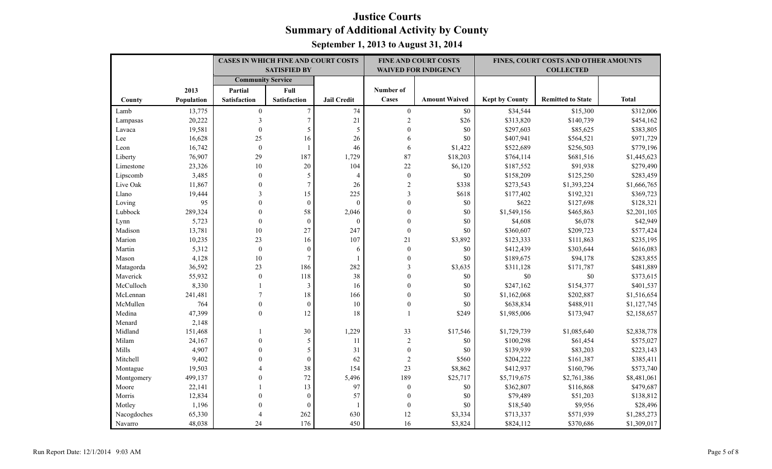|             |            | <b>CASES IN WHICH FINE AND COURT COSTS</b> |                     |                    |                  | <b>FINE AND COURT COSTS</b> |                       | FINES, COURT COSTS AND OTHER AMOUNTS |              |
|-------------|------------|--------------------------------------------|---------------------|--------------------|------------------|-----------------------------|-----------------------|--------------------------------------|--------------|
|             |            |                                            | <b>SATISFIED BY</b> |                    |                  | <b>WAIVED FOR INDIGENCY</b> |                       | <b>COLLECTED</b>                     |              |
|             |            | <b>Community Service</b>                   |                     |                    |                  |                             |                       |                                      |              |
|             | 2013       | Partial                                    | Full                |                    | Number of        |                             |                       |                                      |              |
| County      | Population | <b>Satisfaction</b>                        | <b>Satisfaction</b> | <b>Jail Credit</b> | Cases            | <b>Amount Waived</b>        | <b>Kept by County</b> | <b>Remitted to State</b>             | <b>Total</b> |
| Lamb        | 13,775     | $\boldsymbol{0}$                           | $\overline{7}$      | 74                 | $\boldsymbol{0}$ | \$0                         | \$34,544              | \$15,300                             | \$312,006    |
| Lampasas    | 20,222     | 3                                          | $\overline{7}$      | 21                 | $\sqrt{2}$       | \$26                        | \$313,820             | \$140,739                            | \$454,162    |
| Lavaca      | 19,581     | $\boldsymbol{0}$                           | 5                   | 5                  | $\mathbf{0}$     | \$0                         | \$297,603             | \$85,625                             | \$383,805    |
| Lee         | 16,628     | 25                                         | 16                  | 26                 | 6                | \$0                         | \$407,941             | \$564,521                            | \$971,729    |
| Leon        | 16,742     | $\boldsymbol{0}$                           | 1                   | 46                 | 6                | \$1,422                     | \$522,689             | \$256,503                            | \$779,196    |
| Liberty     | 76,907     | 29                                         | 187                 | 1,729              | 87               | \$18,203                    | \$764,114             | \$681,516                            | \$1,445,623  |
| Limestone   | 23,326     | 10                                         | 20                  | 104                | 22               | \$6,120                     | \$187,552             | \$91,938                             | \$279,490    |
| Lipscomb    | 3,485      | $\mathbf{0}$                               | 5                   | $\overline{4}$     | $\boldsymbol{0}$ | \$0                         | \$158,209             | \$125,250                            | \$283,459    |
| Live Oak    | 11,867     | $\Omega$                                   | $\overline{7}$      | 26                 | $\sqrt{2}$       | \$338                       | \$273,543             | \$1,393,224                          | \$1,666,765  |
| Llano       | 19,444     | 3                                          | 15                  | 225                | 3                | \$618                       | \$177,402             | \$192,321                            | \$369,723    |
| Loving      | 95         | $\Omega$                                   | $\boldsymbol{0}$    | $\overline{0}$     | $\theta$         | \$0                         | \$622                 | \$127,698                            | \$128,321    |
| Lubbock     | 289,324    | $\Omega$                                   | 58                  | 2,046              | $\mathbf{0}$     | \$0                         | \$1,549,156           | \$465,863                            | \$2,201,105  |
| Lynn        | 5,723      | $\theta$                                   | $\overline{0}$      | $\Omega$           | $\theta$         | \$0                         | \$4,608               | \$6,078                              | \$42,949     |
| Madison     | 13,781     | 10                                         | 27                  | 247                | $\boldsymbol{0}$ | \$0                         | \$360,607             | \$209,723                            | \$577,424    |
| Marion      | 10,235     | 23                                         | 16                  | 107                | 21               | \$3,892                     | \$123,333             | \$111,863                            | \$235,195    |
| Martin      | 5,312      | $\boldsymbol{0}$                           | $\boldsymbol{0}$    | 6                  | $\boldsymbol{0}$ | \$0                         | \$412,439             | \$303,644                            | \$616,083    |
| Mason       | 4,128      | 10                                         | $\tau$              | $\mathbf{1}$       | $\mathbf{0}$     | \$0                         | \$189,675             | \$94,178                             | \$283,855    |
| Matagorda   | 36,592     | 23                                         | 186                 | 282                | 3                | \$3,635                     | \$311,128             | \$171,787                            | \$481,889    |
| Maverick    | 55,932     | $\mathbf{0}$                               | 118                 | 38                 | $\mathbf{0}$     | \$0                         | $\$0$                 | \$0                                  | \$373,615    |
| McCulloch   | 8,330      | $\mathbf{1}$                               | 3                   | 16                 | $\theta$         | \$0                         | \$247,162             | \$154,377                            | \$401,537    |
| McLennan    | 241,481    |                                            | 18                  | 166                | $\theta$         | \$0                         | \$1,162,068           | \$202,887                            | \$1,516,654  |
| McMullen    | 764        | $\mathbf{0}$                               | $\boldsymbol{0}$    | 10                 | $\mathbf{0}$     | \$0                         | \$638,834             | \$488,911                            | \$1,127,745  |
| Medina      | 47,399     | $\boldsymbol{0}$                           | 12                  | 18                 | $\mathbf{1}$     | \$249                       | \$1,985,006           | \$173,947                            | \$2,158,657  |
| Menard      | 2,148      |                                            |                     |                    |                  |                             |                       |                                      |              |
| Midland     | 151,468    |                                            | 30                  | 1,229              | 33               | \$17,546                    | \$1,729,739           | \$1,085,640                          | \$2,838,778  |
| Milam       | 24,167     | $\theta$                                   | 5                   | 11                 | $\sqrt{2}$       | \$0                         | \$100,298             | \$61,454                             | \$575,027    |
| Mills       | 4,907      | $\Omega$                                   | 5                   | 31                 | $\boldsymbol{0}$ | \$0                         | \$139,939             | \$83,203                             | \$223,143    |
| Mitchell    | 9,402      |                                            | $\mathbf{0}$        | 62                 | $\overline{c}$   | \$560                       | \$204,222             | \$161,387                            | \$385,411    |
| Montague    | 19,503     |                                            | 38                  | 154                | 23               | \$8,862                     | \$412,937             | \$160,796                            | \$573,740    |
| Montgomery  | 499,137    | $\Omega$                                   | 72                  | 5,496              | 189              | \$25,717                    | \$5,719,675           | \$2,761,386                          | \$8,481,061  |
| Moore       | 22,141     |                                            | 13                  | 97                 | $\boldsymbol{0}$ | \$0                         | \$362,807             | \$116,868                            | \$479,687    |
| Morris      | 12,834     | $\Omega$                                   | $\mathbf{0}$        | 57                 | $\mathbf{0}$     | \$0                         | \$79,489              | \$51,203                             | \$138,812    |
| Motley      | 1,196      | $\Omega$                                   | $\mathbf{0}$        | -1                 | $\mathbf{0}$     | \$0                         | \$18,540              | \$9,956                              | \$28,496     |
| Nacogdoches | 65,330     | $\Delta$                                   | 262                 | 630                | 12               | \$3,334                     | \$713,337             | \$571,939                            | \$1,285,273  |
| Navarro     | 48,038     | 24                                         | 176                 | 450                | 16               | \$3,824                     | \$824,112             | \$370,686                            | \$1,309,017  |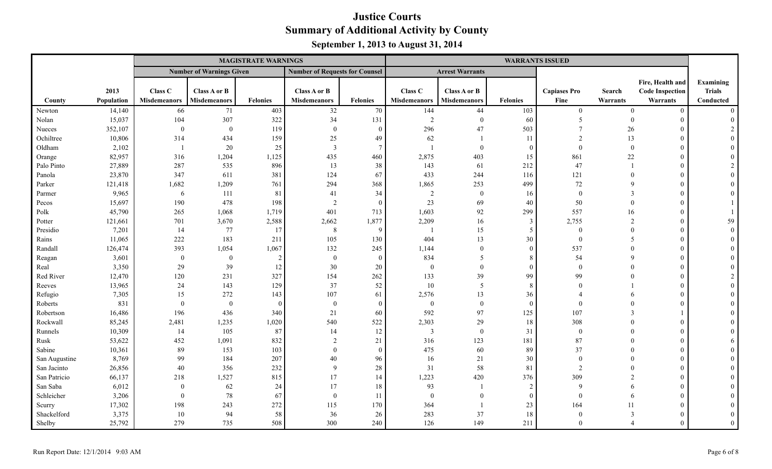|               |            |                     |                                 | <b>MAGISTRATE WARNINGS</b> |                                       |                 |                     |                        |                 | <b>WARRANTS ISSUED</b> |                |                        |                |
|---------------|------------|---------------------|---------------------------------|----------------------------|---------------------------------------|-----------------|---------------------|------------------------|-----------------|------------------------|----------------|------------------------|----------------|
|               |            |                     | <b>Number of Warnings Given</b> |                            | <b>Number of Requests for Counsel</b> |                 |                     | <b>Arrest Warrants</b> |                 |                        |                |                        |                |
|               |            |                     |                                 |                            |                                       |                 |                     |                        |                 |                        |                | Fire, Health and       | Examining      |
|               | 2013       | Class C             | Class A or B                    |                            | Class A or B                          |                 | Class C             | Class A or B           |                 | <b>Capiases Pro</b>    | Search         | <b>Code Inspection</b> | <b>Trials</b>  |
| County        | Population | <b>Misdemeanors</b> | <b>Misdemeanors</b>             | <b>Felonies</b>            | <b>Misdemeanors</b>                   | <b>Felonies</b> | <b>Misdemeanors</b> | <b>Misdemeanors</b>    | <b>Felonies</b> | Fine                   | Warrants       | Warrants               | Conducted      |
| Newton        | 14,140     | 66                  | 71                              | 403                        | 32                                    | 70              | 144                 | 44                     | 103             | $\theta$               | $\theta$       | $\Omega$               | $\Omega$       |
| Nolan         | 15,037     | 104                 | 307                             | 322                        | 34                                    | 131             | 2                   | $\theta$               | 60              | 5                      | $\Omega$       | $\Omega$               | $\theta$       |
| Nueces        | 352,107    | $\theta$            | $\overline{0}$                  | 119                        | $\overline{0}$                        | $\Omega$        | 296                 | 47                     | 503             | $\overline{7}$         | 26             |                        | $\mathfrak{D}$ |
| Ochiltree     | 10,806     | 314                 | 434                             | 159                        | $25\,$                                | 49              | 62                  |                        | 11              | 2                      | 13             |                        |                |
| Oldham        | 2,102      | $\overline{1}$      | 20                              | $25\,$                     | $\overline{\mathbf{3}}$               | $\overline{7}$  |                     | $\theta$               | $\theta$        | $\Omega$               | $\Omega$       |                        |                |
| Orange        | 82,957     | 316                 | 1,204                           | 1,125                      | 435                                   | 460             | 2,875               | 403                    | 15              | 861                    | 22             |                        |                |
| Palo Pinto    | 27,889     | 287                 | 535                             | 896                        | 13                                    | 38              | 143                 | 61                     | 212             | 47                     |                |                        |                |
| Panola        | 23,870     | 347                 | 611                             | 381                        | 124                                   | 67              | 433                 | 244                    | 116             | 121                    | $\Omega$       |                        |                |
| Parker        | 121,418    | 1,682               | 1,209                           | 761                        | 294                                   | 368             | 1,865               | 253                    | 499             | $72\,$                 | $\mathbf Q$    |                        |                |
| Parmer        | 9,965      | 6                   | 111                             | 81                         | 41                                    | 34              | 2                   | $\overline{0}$         | 16              | $\mathbf{0}$           | 3              |                        |                |
| Pecos         | 15,697     | 190                 | 478                             | 198                        | $\overline{2}$                        | $\Omega$        | 23                  | 69                     | 40              | 50                     | $\Omega$       |                        |                |
| Polk          | 45,790     | 265                 | 1,068                           | 1,719                      | 401                                   | 713             | 1,603               | 92                     | 299             | 557                    | 16             |                        |                |
| Potter        | 121,661    | 701                 | 3,670                           | 2,588                      | 2,662                                 | 1,877           | 2,209               | 16                     | 3               | 2,755                  | $\overline{2}$ |                        | 59             |
| Presidio      | 7,201      | 14                  | 77                              | 17                         | 8                                     | 9               | $\overline{1}$      | 15                     | 5               | $\Omega$               | $\Omega$       |                        | $\Omega$       |
| Rains         | 11,065     | 222                 | 183                             | 211                        | 105                                   | 130             | 404                 | 13                     | 30              | $\Omega$               | -5             |                        |                |
| Randall       | 126,474    | 393                 | 1,054                           | 1,067                      | 132                                   | 245             | 1,144               | $\mathbf{0}$           | $\theta$        | 537                    |                |                        |                |
| Reagan        | 3,601      | $\boldsymbol{0}$    | $\mathbf{0}$                    | $\overline{2}$             | $\boldsymbol{0}$                      | $\theta$        | 834                 | 5                      | 8               | 54                     | $\Omega$       |                        |                |
| Real          | 3,350      | 29                  | 39                              | 12                         | 30                                    | 20              | $\mathbf{0}$        | $\mathbf{0}$           | $\theta$        | $\Omega$               |                |                        |                |
| Red River     | 12,470     | 120                 | 231                             | 327                        | 154                                   | 262             | 133                 | 39                     | 99              | 99                     |                |                        | $\mathcal{L}$  |
| Reeves        | 13,965     | 24                  | 143                             | 129                        | 37                                    | 52              | 10                  | 5                      | 8               | $\Omega$               |                |                        |                |
| Refugio       | 7,305      | 15                  | 272                             | 143                        | 107                                   | 61              | 2,576               | 13                     | 36              |                        | 6              |                        |                |
| Roberts       | 831        | $\theta$            | $\boldsymbol{0}$                | $\Omega$                   | $\boldsymbol{0}$                      | $\Omega$        | $\overline{0}$      | $\mathbf{0}$           | $\theta$        | $\Omega$               |                |                        |                |
| Robertson     | 16,486     | 196                 | 436                             | 340                        | 21                                    | 60              | 592                 | 97                     | 125             | 107                    | $\mathcal{F}$  |                        |                |
| Rockwall      | 85,245     | 2,481               | 1,235                           | 1,020                      | 540                                   | 522             | 2,303               | 29                     | 18              | 308                    |                |                        |                |
| Runnels       | 10,309     | 14                  | 105                             | 87                         | 14                                    | 12              | $\overline{3}$      | $\theta$               | 31              | $\mathbf{0}$           |                |                        |                |
| Rusk          | 53,622     | 452                 | 1,091                           | 832                        | $\overline{2}$                        | 21              | 316                 | 123                    | 181             | $87\,$                 |                |                        |                |
| Sabine        | 10,361     | 89                  | 153                             | 103                        | $\theta$                              | $\Omega$        | 475                 | 60                     | 89              | 37                     |                |                        |                |
| San Augustine | 8,769      | 99                  | 184                             | 207                        | 40                                    | 96              | 16                  | 21                     | 30              | $\Omega$               |                |                        |                |
| San Jacinto   | 26,856     | 40                  | 356                             | 232                        | 9                                     | 28              | 31                  | 58                     | 81              | $\overline{2}$         |                |                        |                |
| San Patricio  | 66,137     | 218                 | 1,527                           | 815                        | 17                                    | 14              | 1,223               | 420                    | 376             | 309                    | $\mathcal{D}$  |                        |                |
| San Saba      | 6,012      | $\theta$            | 62                              | 24                         | 17                                    | 18              | 93                  |                        | 2               | $\mathbf{Q}$           | 6              |                        |                |
| Schleicher    | 3,206      | $\theta$            | 78                              | 67                         | $\mathbf{0}$                          | 11              | $\overline{0}$      | $\mathbf{0}$           | $\overline{0}$  | $\Omega$               | -6             |                        |                |
| Scurry        | 17,302     | 198                 | 243                             | 272                        | 115                                   | 170             | 364                 |                        | 23              | 164                    | 11             |                        |                |
| Shackelford   | 3,375      | 10                  | 94                              | 58                         | 36                                    | 26              | 283                 | 37                     | 18              | $\Omega$               | 3              |                        |                |
| Shelby        | 25,792     | 279                 | 735                             | 508                        | 300                                   | 240             | 126                 | 149                    | 211             | $\Omega$               |                |                        | $\theta$       |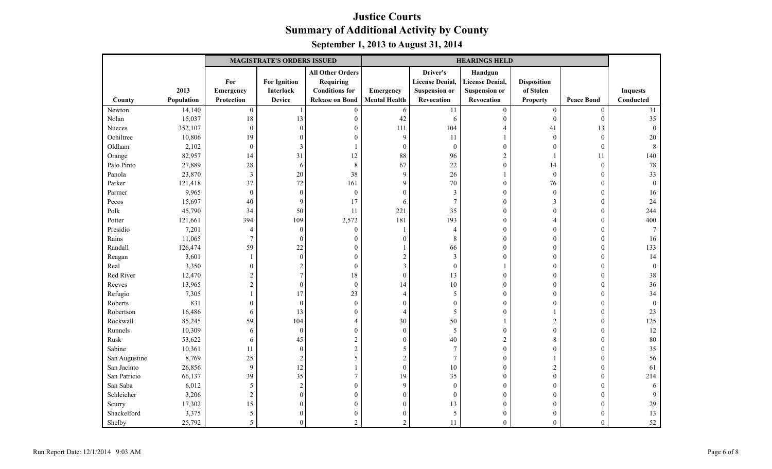|               |            | <b>MAGISTRATE'S ORDERS ISSUED</b><br><b>HEARINGS HELD</b> |                     |                         |                      |                        |                        |                    |                   |                 |
|---------------|------------|-----------------------------------------------------------|---------------------|-------------------------|----------------------|------------------------|------------------------|--------------------|-------------------|-----------------|
|               |            |                                                           |                     | <b>All Other Orders</b> |                      | Driver's               | Handgun                |                    |                   |                 |
|               |            | For                                                       | <b>For Ignition</b> | <b>Requiring</b>        |                      | <b>License Denial,</b> | <b>License Denial,</b> | <b>Disposition</b> |                   |                 |
|               | 2013       | Emergency                                                 | Interlock           | <b>Conditions</b> for   | Emergency            | <b>Suspension or</b>   | <b>Suspension or</b>   | of Stolen          |                   | <b>Inquests</b> |
| County        | Population | Protection                                                | <b>Device</b>       | <b>Release on Bond</b>  | <b>Mental Health</b> | Revocation             | Revocation             | <b>Property</b>    | <b>Peace Bond</b> | Conducted       |
| Newton        | 14,140     | $\boldsymbol{0}$                                          |                     | $\boldsymbol{0}$        | $\sqrt{6}$           | 11                     | $\boldsymbol{0}$       | $\boldsymbol{0}$   | $\boldsymbol{0}$  | 31              |
| Nolan         | 15,037     | 18                                                        | 13                  | $\boldsymbol{0}$        | 42                   | 6                      | $\mathbf{0}$           | $\mathbf{0}$       | $\mathbf{0}$      | 35              |
| Nueces        | 352,107    | $\mathbf{0}$                                              | $\overline{0}$      | $\boldsymbol{0}$        | 111                  | 104                    | 4                      | 41                 | 13                | $\theta$        |
| Ochiltree     | 10,806     | 19                                                        | $\overline{0}$      | $\boldsymbol{0}$        | 9                    | 11                     |                        | $\boldsymbol{0}$   | $\boldsymbol{0}$  | 20              |
| Oldham        | 2,102      | $\mathbf{0}$                                              | 3                   | $\mathbf{1}$            | $\mathbf{0}$         | $\theta$               | $\mathbf{0}$           | $\overline{0}$     | $\overline{0}$    | 8               |
| Orange        | 82,957     | 14                                                        | 31                  | 12                      | 88                   | 96                     | $\sqrt{2}$             |                    | 11                | 140             |
| Palo Pinto    | 27,889     | 28                                                        | 6                   | $\,8\,$                 | 67                   | 22                     | $\boldsymbol{0}$       | 14                 | $\overline{0}$    | 78              |
| Panola        | 23,870     | $\overline{3}$                                            | 20                  | 38                      | 9                    | 26                     |                        | $\mathbf{0}$       | $\theta$          | 33              |
| Parker        | 121,418    | 37                                                        | 72                  | 161                     | 9                    | 70                     | $\boldsymbol{0}$       | 76                 | $\mathbf{0}$      | $\theta$        |
| Parmer        | 9,965      | $\boldsymbol{0}$                                          | $\boldsymbol{0}$    | $\boldsymbol{0}$        | $\overline{0}$       | 3                      | $\boldsymbol{0}$       | $\boldsymbol{0}$   | $\boldsymbol{0}$  | 16              |
| Pecos         | 15,697     | 40                                                        | 9                   | 17                      | 6                    | $\overline{7}$         | $\boldsymbol{0}$       | 3                  | $\theta$          | 24              |
| Polk          | 45,790     | 34                                                        | 50                  | 11                      | 221                  | 35                     | $\boldsymbol{0}$       | $\mathbf{0}$       | $\mathbf{0}$      | 244             |
| Potter        | 121,661    | 394                                                       | 109                 | 2,572                   | 181                  | 193                    | $\boldsymbol{0}$       | 4                  | $\theta$          | 400             |
| Presidio      | 7,201      | $\overline{4}$                                            | $\theta$            | $\boldsymbol{0}$        | $\mathbf{1}$         | $\overline{4}$         | $\mathbf{0}$           | $\Omega$           | $\mathbf{0}$      |                 |
| Rains         | 11,065     | $\boldsymbol{7}$                                          | $\theta$            | $\boldsymbol{0}$        | $\Omega$             | 8                      | $\boldsymbol{0}$       | $\mathbf{0}$       | $\mathbf{0}$      | 16              |
| Randall       | 126,474    | 59                                                        | 22                  | $\boldsymbol{0}$        |                      | 66                     | $\mathbf{0}$           | $\overline{0}$     | $\mathbf{0}$      | 133             |
| Reagan        | 3,601      | 1                                                         | $\theta$            | $\boldsymbol{0}$        | $\overline{c}$       | $\overline{3}$         | $\boldsymbol{0}$       | $\mathbf{0}$       | $\theta$          | 14              |
| Real          | 3,350      | $\boldsymbol{0}$                                          | $\overline{2}$      | $\boldsymbol{0}$        | $\mathfrak{Z}$       | $\overline{0}$         |                        | $\overline{0}$     | $\mathbf{0}$      | $\theta$        |
| Red River     | 12,470     | $\overline{c}$                                            | $\overline{7}$      | 18                      | $\boldsymbol{0}$     | 13                     | $\mathbf{0}$           | $\mathbf{0}$       | $\mathbf{0}$      | 38              |
| Reeves        | 13,965     | $\overline{c}$                                            | $\overline{0}$      | $\boldsymbol{0}$        | 14                   | 10                     | $\boldsymbol{0}$       | $\overline{0}$     | $\mathbf{0}$      | 36              |
| Refugio       | 7,305      | $\mathbf{1}$                                              | 17                  | 23                      | $\overline{4}$       | 5                      | $\boldsymbol{0}$       | $\overline{0}$     | $\mathbf{0}$      | 34              |
| Roberts       | 831        | $\boldsymbol{0}$                                          | $\boldsymbol{0}$    | $\boldsymbol{0}$        | $\Omega$             | $\theta$               | $\mathbf{0}$           | $\overline{0}$     | $\theta$          | $\Omega$        |
| Robertson     | 16,486     | 6                                                         | 13                  | $\boldsymbol{0}$        | $\overline{4}$       | 5                      | $\boldsymbol{0}$       |                    | $\boldsymbol{0}$  | 23              |
| Rockwall      | 85,245     | 59                                                        | 104                 | $\overline{4}$          | 30                   | 50                     |                        | $\mathbf{2}$       | $\mathbf{0}$      | 125             |
| Runnels       | 10,309     | 6                                                         | $\boldsymbol{0}$    | $\overline{0}$          | $\mathbf{0}$         | 5                      | $\mathbf{0}$           | $\overline{0}$     | $\overline{0}$    | 12              |
| Rusk          | 53,622     | 6                                                         | 45                  | $\sqrt{2}$              | $\overline{0}$       | 40                     | $\sqrt{2}$             | 8                  | $\mathbf{0}$      | 80              |
| Sabine        | 10,361     | 11                                                        | $\boldsymbol{0}$    | $\mathbf{2}$            | 5                    | $\overline{7}$         | $\boldsymbol{0}$       | $\theta$           | $\boldsymbol{0}$  | 35              |
| San Augustine | 8,769      | 25                                                        | $\sqrt{2}$          | 5                       | $\overline{2}$       | $\overline{7}$         | $\boldsymbol{0}$       |                    | $\boldsymbol{0}$  | 56              |
| San Jacinto   | 26,856     | $\mathbf{9}$                                              | 12                  | $\mathbf{1}$            | $\boldsymbol{0}$     | 10                     | $\boldsymbol{0}$       | $\sqrt{2}$         | $\boldsymbol{0}$  | 61              |
| San Patricio  | 66,137     | 39                                                        | 35                  | $\boldsymbol{7}$        | 19                   | 35                     | $\mathbf{0}$           | $\mathbf{0}$       | $\theta$          | 214             |
| San Saba      | 6,012      | 5                                                         | $\overline{c}$      | $\boldsymbol{0}$        | 9                    | $\theta$               | $\mathbf{0}$           | $\overline{0}$     | $\theta$          |                 |
| Schleicher    | 3,206      | $\sqrt{2}$                                                | $\theta$            | $\boldsymbol{0}$        | $\theta$             | $\theta$               | $\boldsymbol{0}$       | $\overline{0}$     | $\mathbf{0}$      |                 |
| Scurry        | 17,302     | 15                                                        | $\Omega$            | $\boldsymbol{0}$        | $\theta$             | 13                     | $\mathbf{0}$           | $\Omega$           | $\theta$          | 29              |
| Shackelford   | 3,375      | 5                                                         | $\sqrt{ }$          | $\boldsymbol{0}$        | $\Omega$             | 5                      | $\boldsymbol{0}$       | 0                  | $\boldsymbol{0}$  | 13              |
| Shelby        | 25,792     | 5                                                         | $\sqrt{ }$          | $\overline{2}$          | $\overline{2}$       | 11                     | $\mathbf{0}$           | $\mathbf{0}$       | $\mathbf{0}$      | 52              |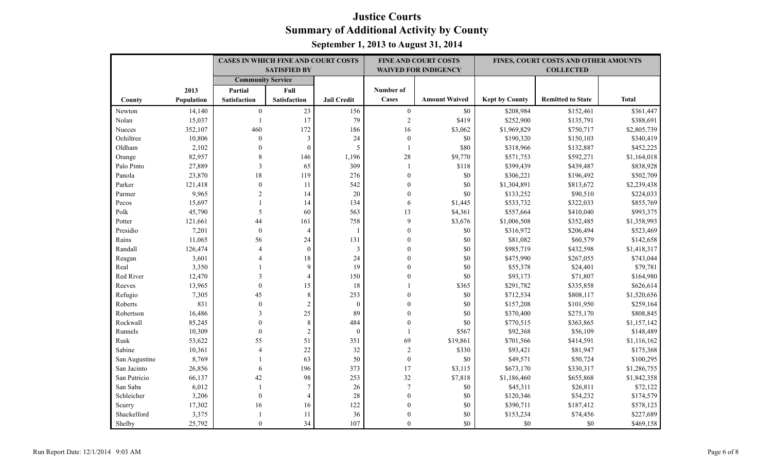|               |            | <b>CASES IN WHICH FINE AND COURT COSTS</b> |                     |                    |                  | <b>FINE AND COURT COSTS</b> |                       | FINES, COURT COSTS AND OTHER AMOUNTS |              |
|---------------|------------|--------------------------------------------|---------------------|--------------------|------------------|-----------------------------|-----------------------|--------------------------------------|--------------|
|               |            |                                            | <b>SATISFIED BY</b> |                    |                  | <b>WAIVED FOR INDIGENCY</b> |                       | <b>COLLECTED</b>                     |              |
|               |            | <b>Community Service</b>                   |                     |                    |                  |                             |                       |                                      |              |
|               | 2013       | Partial                                    | Full                |                    | Number of        |                             |                       |                                      |              |
| County        | Population | <b>Satisfaction</b>                        | Satisfaction        | <b>Jail Credit</b> | Cases            | <b>Amount Waived</b>        | <b>Kept by County</b> | <b>Remitted to State</b>             | <b>Total</b> |
| Newton        | 14,140     | $\boldsymbol{0}$                           | 23                  | 156                | $\boldsymbol{0}$ | $\$0$                       | \$208,984             | \$152,461                            | \$361,447    |
| Nolan         | 15,037     | $\overline{1}$                             | 17                  | 79                 | $\sqrt{2}$       | \$419                       | \$252,900             | \$135,791                            | \$388,691    |
| Nueces        | 352,107    | 460                                        | 172                 | 186                | 16               | \$3,062                     | \$1,969,829           | \$750,717                            | \$2,805,739  |
| Ochiltree     | 10,806     | $\boldsymbol{0}$                           | $\mathfrak{Z}$      | 24                 | $\boldsymbol{0}$ | \$0                         | \$190,320             | \$150,103                            | \$340,419    |
| Oldham        | 2,102      | $\theta$                                   | $\boldsymbol{0}$    | $\mathfrak s$      | $\mathbf{1}$     | \$80                        | \$318,966             | \$132,887                            | \$452,225    |
| Orange        | 82,957     | 8                                          | 146                 | 1,196              | $28\,$           | \$9,770                     | \$571,753             | \$592,271                            | \$1,164,018  |
| Palo Pinto    | 27,889     | 3                                          | 65                  | 309                | $\mathbf{1}$     | \$118                       | \$399,439             | \$439,487                            | \$838,928    |
| Panola        | 23,870     | 18                                         | 119                 | 276                | $\mathbf{0}$     | \$0                         | \$306,221             | \$196,492                            | \$502,709    |
| Parker        | 121,418    | $\boldsymbol{0}$                           | 11                  | 542                | $\mathbf{0}$     | \$0                         | \$1,304,891           | \$813,672                            | \$2,239,438  |
| Parmer        | 9,965      | $\overline{2}$                             | 14                  | 20                 | $\boldsymbol{0}$ | $\$0$                       | \$133,252             | \$90,510                             | \$224,033    |
| Pecos         | 15,697     |                                            | 14                  | 134                | 6                | \$1,445                     | \$533,732             | \$322,033                            | \$855,769    |
| Polk          | 45,790     | 5                                          | 60                  | 563                | 13               | \$4,361                     | \$557,664             | \$410,040                            | \$993,375    |
| Potter        | 121,661    | 44                                         | 161                 | 758                | 9                | \$3,676                     | \$1,006,508           | \$352,485                            | \$1,358,993  |
| Presidio      | 7,201      | $\boldsymbol{0}$                           | $\overline{4}$      | $\overline{1}$     | $\theta$         | \$0                         | \$316,972             | \$206,494                            | \$523,469    |
| Rains         | 11,065     | 56                                         | 24                  | 131                | 0                | \$0                         | \$81,082              | \$60,579                             | \$142,658    |
| Randall       | 126,474    | $\overline{4}$                             | $\mathbf{0}$        | $\mathfrak{Z}$     | $\Omega$         | $\$0$                       | \$985,719             | \$432,598                            | \$1,418,317  |
| Reagan        | 3,601      | 4                                          | 18                  | 24                 | $\theta$         | \$0                         | \$475,990             | \$267,055                            | \$743,044    |
| Real          | 3,350      |                                            | 9                   | 19                 | $\Omega$         | $\$0$                       | \$55,378              | \$24,401                             | \$79,781     |
| Red River     | 12,470     | 3                                          | 4                   | 150                | $\theta$         | \$0                         | \$93,173              | \$71,807                             | \$164,980    |
| Reeves        | 13,965     | $\mathbf{0}$                               | 15                  | 18                 |                  | \$365                       | \$291,782             | \$335,858                            | \$626,614    |
| Refugio       | 7,305      | 45                                         | $\,8\,$             | 253                | $\mathbf{0}$     | $\$0$                       | \$712,534             | \$808,117                            | \$1,520,656  |
| Roberts       | 831        | $\theta$                                   | $\overline{c}$      | $\boldsymbol{0}$   | $\theta$         | \$0                         | \$157,208             | \$101,950                            | \$259,164    |
| Robertson     | 16,486     | 3                                          | 25                  | 89                 | $\mathbf{0}$     | \$0                         | \$370,400             | \$275,170                            | \$808,845    |
| Rockwall      | 85,245     | $\theta$                                   | $\,8\,$             | 484                | $\overline{0}$   | \$0                         | \$770,515             | \$363,865                            | \$1,157,142  |
| Runnels       | 10,309     | $\mathbf{0}$                               | $\mathbf{2}$        | $\mathbf{0}$       | $\mathbf{1}$     | \$567                       | \$92,368              | \$56,109                             | \$148,489    |
| Rusk          | 53,622     | 55                                         | 51                  | 351                | 69               | \$19,861                    | \$701,566             | \$414,591                            | \$1,116,162  |
| Sabine        | 10,361     | $\overline{4}$                             | 22                  | 32                 | $\sqrt{2}$       | \$330                       | \$93,421              | \$81,947                             | \$175,368    |
| San Augustine | 8,769      |                                            | 63                  | 50                 | $\boldsymbol{0}$ | \$0                         | \$49,571              | \$50,724                             | \$100,295    |
| San Jacinto   | 26,856     | 6                                          | 196                 | 373                | 17               | \$3,115                     | \$673,170             | \$330,317                            | \$1,286,755  |
| San Patricio  | 66,137     | 42                                         | 98                  | 253                | 32               | \$7,818                     | \$1,186,460           | \$655,868                            | \$1,842,358  |
| San Saba      | 6,012      | $\mathbf{1}$                               | 7                   | 26                 | $\tau$           | $\$0$                       | \$45,311              | \$26,811                             | \$72,122     |
| Schleicher    | 3,206      | $\mathbf{0}$                               | $\overline{4}$      | 28                 | $\overline{0}$   | \$0                         | \$120,346             | \$54,232                             | \$174,579    |
| Scurry        | 17,302     | 16                                         | 16                  | 122                | $\mathbf{0}$     | $\$0$                       | \$390,711             | \$187,412                            | \$578,123    |
| Shackelford   | 3,375      | $\mathbf{1}$                               | 11                  | 36                 | $\mathbf{0}$     | \$0                         | \$153,234             | \$74,456                             | \$227,689    |
| Shelby        | 25,792     | $\Omega$                                   | 34                  | 107                | $\theta$         | \$0                         | \$0                   | \$0                                  | \$469,158    |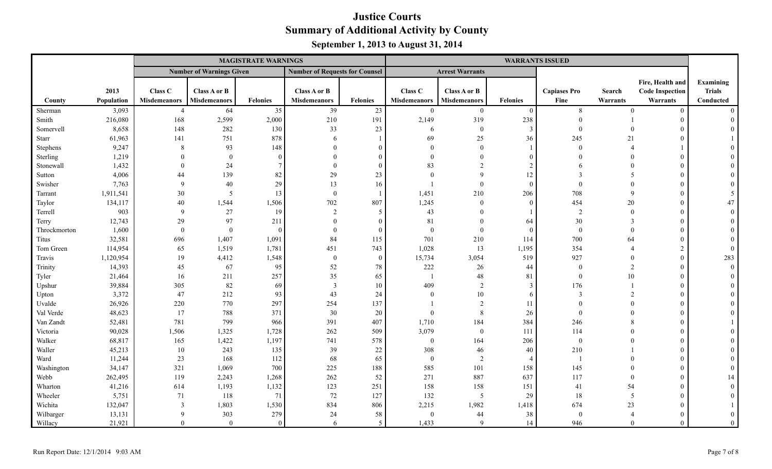|              |            | <b>MAGISTRATE WARNINGS</b> |                                 |                 |                                       |              |                     |                        |                 | <b>WARRANTS ISSUED</b> |                |                        |               |
|--------------|------------|----------------------------|---------------------------------|-----------------|---------------------------------------|--------------|---------------------|------------------------|-----------------|------------------------|----------------|------------------------|---------------|
|              |            |                            | <b>Number of Warnings Given</b> |                 | <b>Number of Requests for Counsel</b> |              |                     | <b>Arrest Warrants</b> |                 |                        |                |                        |               |
|              |            |                            |                                 |                 |                                       |              |                     |                        |                 |                        |                | Fire, Health and       | Examining     |
|              | 2013       | Class C                    | Class A or B                    |                 | Class A or B                          |              | Class C             | Class A or B           |                 | <b>Capiases Pro</b>    | <b>Search</b>  | <b>Code Inspection</b> | <b>Trials</b> |
| County       | Population | <b>Misdemeanors</b>        | Misdemeanors                    | <b>Felonies</b> | <b>Misdemeanors</b>                   | Felonies     | <b>Misdemeanors</b> | <b>Misdemeanors</b>    | <b>Felonies</b> | Fine                   | Warrants       | Warrants               | Conducted     |
| Sherman      | 3,093      | $\overline{4}$             | 64                              | 35              | 39                                    | 23           | $\mathbf{0}$        | $\mathbf{0}$           | $\Omega$        | 8                      | $\theta$       | $^{\circ}$             | $\Omega$      |
| Smith        | 216,080    | 168                        | 2,599                           | 2,000           | 210                                   | 191          | 2,149               | 319                    | 238             | $\Omega$               |                | $\Omega$               |               |
| Somervell    | 8,658      | 148                        | 282                             | 130             | 33                                    | 23           | 6                   | $\mathbf{0}$           | $\overline{3}$  | $\Omega$               |                |                        |               |
| Starr        | 61,963     | 141                        | 751                             | 878             | -6                                    |              | 69                  | 25                     | 36              | 245                    | 21             |                        |               |
| Stephens     | 9,247      | 8                          | 93                              | 148             |                                       | $\theta$     | $\theta$            | $\mathbf{0}$           |                 | $\theta$               |                |                        |               |
| Sterling     | 1,219      | $\Omega$                   | $\Omega$                        | $\Omega$        | $\Omega$                              | $\mathbf{0}$ | $\Omega$            | $\theta$               |                 | $\Omega$               |                |                        |               |
| Stonewall    | 1,432      | $\Omega$                   | 24                              |                 | $\Omega$                              | $\theta$     | 83                  |                        |                 |                        |                |                        |               |
| Sutton       | 4,006      | 44                         | 139                             | 82              | 29                                    | 23           | $\Omega$            | $\mathbf Q$            | 12              | $\mathbf{3}$           | $\overline{5}$ |                        |               |
| Swisher      | 7,763      | $\mathbf Q$                | 40                              | 29              | 13                                    | 16           |                     | $\theta$               | $\Omega$        | $\Omega$               |                |                        |               |
| Tarrant      | 1,911,541  | $30\,$                     | 5                               | 13              | $\mathbf{0}$                          |              | 1,451               | 210                    | 206             | 708                    | $\mathbf{Q}$   |                        |               |
| Taylor       | 134,117    | 40                         | 1,544                           | 1,506           | 702                                   | 807          | 1,245               | $\theta$               | $\theta$        | 454                    | 20             |                        | 47            |
| Terrell      | 903        | 9                          | 27                              | 19              | $\mathfrak{D}$                        | 5            | 43                  | $\Omega$               |                 | 2                      | $\Omega$       |                        |               |
| Terry        | 12,743     | 29                         | 97                              | 211             | $\Omega$                              | $\theta$     | 81                  | $\Omega$               | 64              | 30                     | $\mathcal{R}$  |                        |               |
| Throckmorton | 1,600      | $\theta$                   | $\Omega$                        | $\Omega$        | $\Omega$                              | $\theta$     | $\mathbf{0}$        | $\theta$               | $\Omega$        | $\theta$               | $\Omega$       |                        |               |
| Titus        | 32,581     | 696                        | 1,407                           | 1,091           | 84                                    | 115          | 701                 | 210                    | 114             | 700                    | 64             |                        |               |
| Tom Green    | 114,954    | 65                         | 1,519                           | 1,781           | 451                                   | 743          | 1,028               | 13                     | 1,195           | 354                    |                |                        | $\Omega$      |
| Travis       | 1,120,954  | 19                         | 4,412                           | 1,548           | $\boldsymbol{0}$                      | $\mathbf{0}$ | 15,734              | 3,054                  | 519             | 927                    |                |                        | 283           |
| Trinity      | 14,393     | 45                         | 67                              | 95              | 52                                    | 78           | 222                 | 26                     | 44              | $\theta$               | 2              |                        | $\theta$      |
| Tyler        | 21,464     | 16                         | 211                             | 257             | 35                                    | 65           |                     | $48\,$                 | 81              | $\Omega$               | 10             |                        |               |
| Upshur       | 39,884     | 305                        | 82                              | 69              | 3                                     | 10           | 409                 | 2                      | $\mathcal{E}$   | 176                    |                |                        |               |
| Upton        | 3,372      | 47                         | 212                             | 93              | 43                                    | 24           | $\Omega$            | $10\,$                 | -6              | 3                      | $\overline{2}$ |                        |               |
| Uvalde       | 26,926     | 220                        | 770                             | 297             | 254                                   | 137          |                     | $\overline{2}$         | 11              | $\Omega$               | $\Omega$       |                        |               |
| Val Verde    | 48,623     | 17                         | 788                             | 371             | 30                                    | 20           | $\theta$            | $\,8\,$                | 26              | $\Omega$               |                |                        |               |
| Van Zandt    | 52,481     | 781                        | 799                             | 966             | 391                                   | 407          | 1,710               | 184                    | 384             | 246                    |                |                        |               |
| Victoria     | 90,028     | 1,506                      | 1,325                           | 1,728           | 262                                   | 509          | 3,079               | $\theta$               | 111             | 114                    |                |                        |               |
| Walker       | 68,817     | 165                        | 1,422                           | 1,197           | 741                                   | 578          | $\boldsymbol{0}$    | 164                    | 206             | $\theta$               |                |                        |               |
| Waller       | 45,213     | 10                         | 243                             | 135             | 39                                    | 22           | 308                 | 46                     | 40              | 210                    |                |                        |               |
| Ward         | 11,244     | 23                         | 168                             | 112             | 68                                    | 65           | $\boldsymbol{0}$    | $\overline{2}$         | $\overline{4}$  | $\overline{1}$         |                |                        |               |
| Washington   | 34,147     | 321                        | 1,069                           | 700             | 225                                   | 188          | 585                 | 101                    | 158             | 145                    |                |                        |               |
| Webb         | 262,495    | 119                        | 2,243                           | 1,268           | 262                                   | 52           | 271                 | 887                    | 637             | 117                    | $\Omega$       |                        | 14            |
| Wharton      | 41,216     | 614                        | 1,193                           | 1,132           | 123                                   | 251          | 158                 | 158                    | 151             | 41                     | 54             |                        |               |
| Wheeler      | 5,751      | 71                         | 118                             | 71              | 72                                    | 127          | 132                 | 5                      | 29              | 18                     | 5              |                        |               |
| Wichita      | 132,047    | $\overline{3}$             | 1,803                           | 1,530           | 834                                   | 806          | 2,215               | 1,982                  | 1,418           | 674                    | 23             |                        |               |
| Wilbarger    | 13,131     | 9                          | 303                             | 279             | 24                                    | 58           | $\mathbf{0}$        | 44                     | 38              | $\Omega$               |                |                        |               |
| Willacy      | 21,921     | $\Omega$                   | $\theta$                        | $\theta$        | 6                                     | 5            | 1,433               | $\mathbf{Q}$           | 14              | 946                    |                |                        | $\theta$      |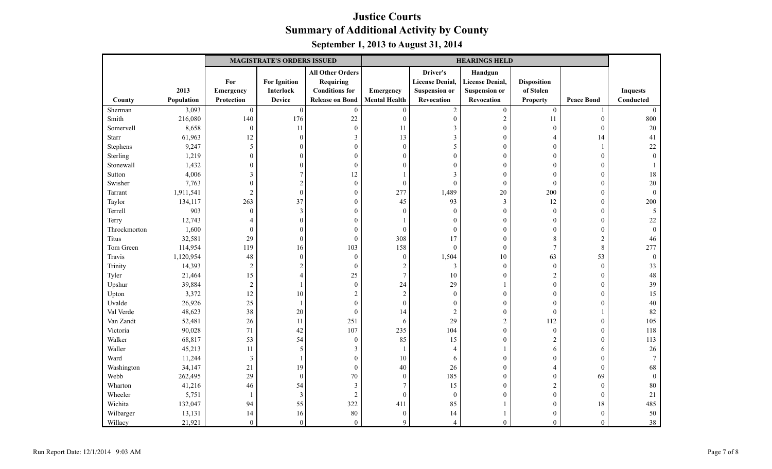|              |            |                  | <b>MAGISTRATE'S ORDERS ISSUED</b> |                         |                      |                        | <b>HEARINGS HELD</b>   |                    |                   |                 |
|--------------|------------|------------------|-----------------------------------|-------------------------|----------------------|------------------------|------------------------|--------------------|-------------------|-----------------|
|              |            |                  |                                   | <b>All Other Orders</b> |                      | Driver's               | Handgun                |                    |                   |                 |
|              |            | For              | <b>For Ignition</b>               | <b>Requiring</b>        |                      | <b>License Denial,</b> | <b>License Denial,</b> | <b>Disposition</b> |                   |                 |
|              | 2013       | Emergency        | Interlock                         | <b>Conditions for</b>   | Emergency            | <b>Suspension or</b>   | <b>Suspension or</b>   | of Stolen          |                   | <b>Inquests</b> |
| County       | Population | Protection       | <b>Device</b>                     | <b>Release on Bond</b>  | <b>Mental Health</b> | Revocation             | Revocation             | <b>Property</b>    | <b>Peace Bond</b> | Conducted       |
| Sherman      | 3,093      | $\boldsymbol{0}$ | $\boldsymbol{0}$                  | $\boldsymbol{0}$        | $\boldsymbol{0}$     | $\overline{c}$         | $\boldsymbol{0}$       | $\boldsymbol{0}$   |                   | $\theta$        |
| Smith        | 216,080    | 140              | 176                               | 22                      | $\boldsymbol{0}$     | $\boldsymbol{0}$       | $\sqrt{2}$             | 11                 | $\mathbf{0}$      | 800             |
| Somervell    | 8,658      | $\boldsymbol{0}$ | 11                                | $\boldsymbol{0}$        | 11                   | $\mathfrak{Z}$         | $\boldsymbol{0}$       | $\boldsymbol{0}$   | $\mathbf{0}$      | $20\,$          |
| Starr        | 61,963     | 12               | $\boldsymbol{0}$                  | $\mathfrak{Z}$          | 13                   | $\mathfrak{Z}$         | $\boldsymbol{0}$       | $\overline{4}$     | 14                | 41              |
| Stephens     | 9,247      | 5                | $\mathbf{0}$                      | $\boldsymbol{0}$        | $\boldsymbol{0}$     | 5                      | $\mathbf{0}$           | $\overline{0}$     |                   | 22              |
| Sterling     | 1,219      | $\boldsymbol{0}$ | $\boldsymbol{0}$                  | $\boldsymbol{0}$        | $\mathbf{0}$         | $\theta$               | $\boldsymbol{0}$       | $\boldsymbol{0}$   | $\mathbf{0}$      | $\theta$        |
| Stonewall    | 1,432      | $\mathbf{0}$     | $\theta$                          | $\mathbf{0}$            | $\theta$             | $\Omega$               | $\mathbf{0}$           | $\overline{0}$     | $\theta$          |                 |
| Sutton       | 4,006      | $\mathfrak{Z}$   | $\overline{7}$                    | 12                      |                      | 3                      | $\mathbf{0}$           | $\mathbf{0}$       | $\mathbf{0}$      | 18              |
| Swisher      | 7,763      | $\boldsymbol{0}$ | $\sqrt{2}$                        | $\boldsymbol{0}$        | $\boldsymbol{0}$     | $\mathbf{0}$           | $\boldsymbol{0}$       | $\boldsymbol{0}$   | $\mathbf{0}$      | $20\,$          |
| Tarrant      | 1,911,541  | $\overline{2}$   | $\boldsymbol{0}$                  | $\boldsymbol{0}$        | 277                  | 1,489                  | $20\,$                 | 200                | $\mathbf{0}$      | $\mathbf{0}$    |
| Taylor       | 134,117    | 263              | 37                                | $\boldsymbol{0}$        | 45                   | 93                     | $\mathfrak{Z}$         | 12                 | $\mathbf{0}$      | 200             |
| Terrell      | 903        | $\boldsymbol{0}$ | $\mathfrak{Z}$                    | $\boldsymbol{0}$        | $\boldsymbol{0}$     | $\theta$               | $\boldsymbol{0}$       | $\boldsymbol{0}$   | $\theta$          | 5               |
| Terry        | 12,743     | $\overline{4}$   | $\overline{0}$                    | $\mathbf{0}$            |                      | $\theta$               | $\mathbf{0}$           | $\theta$           | $\mathbf{0}$      | 22              |
| Throckmorton | 1,600      | $\boldsymbol{0}$ | $\boldsymbol{0}$                  | $\mathbf{0}$            | $\boldsymbol{0}$     | $\mathbf{0}$           | $\mathbf{0}$           | $\boldsymbol{0}$   | $\mathbf{0}$      | $\theta$        |
| Titus        | 32,581     | 29               | $\boldsymbol{0}$                  | $\mathbf{0}$            | 308                  | 17                     | $\mathbf{0}$           | 8                  | $\overline{c}$    | 46              |
| Tom Green    | 114,954    | 119              | 16                                | 103                     | 158                  | $\mathbf{0}$           | $\boldsymbol{0}$       | $\boldsymbol{7}$   | $\,8\,$           | 277             |
| Travis       | 1,120,954  | 48               | $\boldsymbol{0}$                  | $\boldsymbol{0}$        | $\boldsymbol{0}$     | 1,504                  | 10                     | 63                 | 53                | $\mathbf{0}$    |
| Trinity      | 14,393     | $\overline{2}$   | $\overline{c}$                    | $\mathbf{0}$            | $\overline{c}$       | 3                      | $\mathbf{0}$           | $\boldsymbol{0}$   | $\mathbf{0}$      | 33              |
| Tyler        | 21,464     | 15               | $\overline{4}$                    | 25                      | $\overline{7}$       | 10                     | $\boldsymbol{0}$       | $\sqrt{2}$         | $\mathbf{0}$      | 48              |
| Upshur       | 39,884     | $\sqrt{2}$       |                                   | $\mathbf{0}$            | 24                   | 29                     |                        | $\mathbf{0}$       | $\theta$          | 39              |
| Upton        | 3,372      | 12               | 10                                | $\overline{2}$          | $\overline{c}$       | $\mathbf{0}$           | $\boldsymbol{0}$       | $\mathbf{0}$       | $\overline{0}$    | 15              |
| Uvalde       | 26,926     | 25               | -1                                | $\boldsymbol{0}$        | $\boldsymbol{0}$     | $\boldsymbol{0}$       | $\boldsymbol{0}$       | $\boldsymbol{0}$   | $\boldsymbol{0}$  | $40\,$          |
| Val Verde    | 48,623     | 38               | 20                                | $\mathbf{0}$            | 14                   | $\mathfrak{2}$         | $\boldsymbol{0}$       | $\mathbf{0}$       |                   | 82              |
| Van Zandt    | 52,481     | 26               | 11                                | 251                     | 6                    | 29                     | $\overline{c}$         | 112                | $\mathbf{0}$      | 105             |
| Victoria     | 90,028     | 71               | 42                                | 107                     | 235                  | 104                    | $\boldsymbol{0}$       | $\boldsymbol{0}$   | $\theta$          | 118             |
| Walker       | 68,817     | 53               | 54                                | $\boldsymbol{0}$        | 85                   | 15                     | $\mathbf{0}$           | $\overline{2}$     | $\theta$          | 113             |
| Waller       | 45,213     | 11               | 5                                 | 3                       | 1                    | $\overline{4}$         |                        | 6                  | 6                 | $26\,$          |
| Ward         | 11,244     | 3                | $\mathbf{1}$                      | $\boldsymbol{0}$        | $10\,$               | 6                      | $\mathbf{0}$           | $\theta$           | $\mathbf{0}$      | -7              |
| Washington   | 34,147     | 21               | 19                                | $\boldsymbol{0}$        | $40\,$               | 26                     | $\boldsymbol{0}$       | 4                  | $\mathbf{0}$      | 68              |
| Webb         | 262,495    | 29               | $\boldsymbol{0}$                  | 70                      | $\boldsymbol{0}$     | 185                    | $\boldsymbol{0}$       | $\overline{0}$     | 69                | $\theta$        |
| Wharton      | 41,216     | 46               | 54                                | 3                       | $\overline{7}$       | 15                     | $\mathbf{0}$           | $\sqrt{2}$         | $\mathbf{0}$      | 80              |
| Wheeler      | 5,751      | $\mathbf{1}$     | $\mathfrak{Z}$                    | $\overline{2}$          | $\boldsymbol{0}$     | $\mathbf{0}$           | $\mathbf{0}$           | $\boldsymbol{0}$   | $\mathbf{0}$      | 21              |
| Wichita      | 132,047    | 94               | 55                                | 322                     | 411                  | 85                     |                        | $\boldsymbol{0}$   | $18\,$            | 485             |
| Wilbarger    | 13,131     | 14               | 16                                | 80                      | $\boldsymbol{0}$     | 14                     |                        | $\overline{0}$     | $\mathbf{0}$      | 50              |
| Willacy      | 21,921     | $\theta$         | $\mathbf{0}$                      | $\mathbf{0}$            | 9                    | $\overline{4}$         | $\Omega$               | $\theta$           | $\Omega$          | 38              |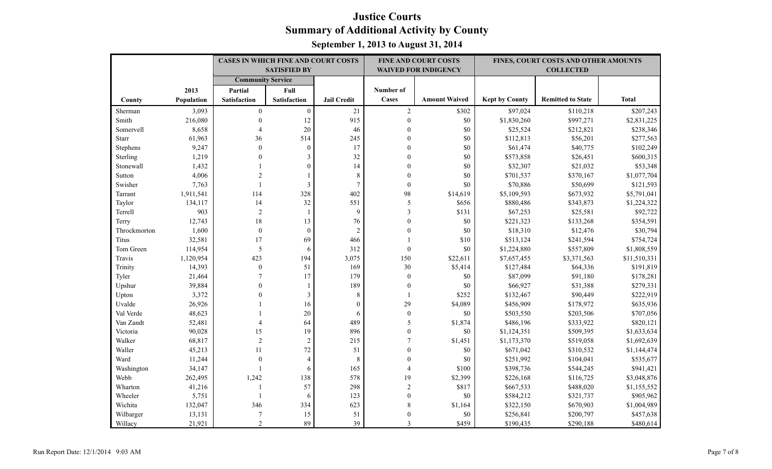|              |            | <b>CASES IN WHICH FINE AND COURT COSTS</b> |                     |                    |                  | <b>FINE AND COURT COSTS</b> |                       | FINES, COURT COSTS AND OTHER AMOUNTS |              |
|--------------|------------|--------------------------------------------|---------------------|--------------------|------------------|-----------------------------|-----------------------|--------------------------------------|--------------|
|              |            |                                            | <b>SATISFIED BY</b> |                    |                  | <b>WAIVED FOR INDIGENCY</b> |                       | <b>COLLECTED</b>                     |              |
|              |            | <b>Community Service</b>                   |                     |                    |                  |                             |                       |                                      |              |
|              | 2013       | Partial                                    | Full                |                    | Number of        |                             |                       |                                      |              |
| County       | Population | <b>Satisfaction</b>                        | Satisfaction        | <b>Jail Credit</b> | Cases            | <b>Amount Waived</b>        | <b>Kept by County</b> | <b>Remitted to State</b>             | <b>Total</b> |
| Sherman      | 3,093      | $\overline{0}$                             | $\overline{0}$      | 21                 | 2                | \$302                       | \$97,024              | \$110,218                            | \$207,243    |
| Smith        | 216,080    | $\mathbf{0}$                               | 12                  | 915                | $\mathbf{0}$     | $\$0$                       | \$1,830,260           | \$997,271                            | \$2,831,225  |
| Somervell    | 8,658      | 4                                          | 20                  | 46                 | $\boldsymbol{0}$ | $\$0$                       | \$25,524              | \$212,821                            | \$238,346    |
| <b>Starr</b> | 61,963     | 36                                         | 514                 | 245                | $\Omega$         | \$0                         | \$112,813             | \$56,201                             | \$277,563    |
| Stephens     | 9,247      | $\mathbf{0}$                               | $\boldsymbol{0}$    | 17                 | $\theta$         | $\$0$                       | \$61,474              | \$40,775                             | \$102,249    |
| Sterling     | 1,219      | $\mathbf{0}$                               | 3                   | 32                 | $\Omega$         | $\$0$                       | \$573,858             | \$26,451                             | \$600,315    |
| Stonewall    | 1,432      |                                            | $\theta$            | 14                 | $\Omega$         | $\$0$                       | \$32,307              | \$21,032                             | \$53,348     |
| Sutton       | 4,006      | $\overline{2}$                             |                     | 8                  | $\theta$         | \$0                         | \$701,537             | \$370,167                            | \$1,077,704  |
| Swisher      | 7,763      | $\mathbf{1}$                               | 3                   | $\overline{7}$     | $\boldsymbol{0}$ | $\$0$                       | \$70,886              | \$50,699                             | \$121,593    |
| Tarrant      | 1,911,541  | 114                                        | 328                 | 402                | 98               | \$14,619                    | \$5,109,593           | \$673,932                            | \$5,791,041  |
| Taylor       | 134,117    | 14                                         | 32                  | 551                | $\sqrt{5}$       | \$656                       | \$880,486             | \$343,873                            | \$1,224,322  |
| Terrell      | 903        | $\overline{2}$                             | $\overline{1}$      | 9                  | 3                | \$131                       | \$67,253              | \$25,581                             | \$92,722     |
| Terry        | 12,743     | 18                                         | 13                  | 76                 | $\theta$         | $\$0$                       | \$221,323             | \$133,268                            | \$354,591    |
| Throckmorton | 1,600      | $\mathbf{0}$                               | $\mathbf{0}$        | $\overline{2}$     | $\theta$         | \$0                         | \$18,310              | \$12,476                             | \$30,794     |
| Titus        | 32,581     | 17                                         | 69                  | 466                |                  | \$10                        | \$513,124             | \$241,594                            | \$754,724    |
| Tom Green    | 114,954    | 5                                          | 6                   | 312                | $\boldsymbol{0}$ | $\$0$                       | \$1,224,880           | \$557,809                            | \$1,808,559  |
| Travis       | 1,120,954  | 423                                        | 194                 | 3,075              | 150              | \$22,611                    | \$7,657,455           | \$3,371,563                          | \$11,510,331 |
| Trinity      | 14,393     | $\mathbf{0}$                               | 51                  | 169                | 30               | \$5,414                     | \$127,484             | \$64,336                             | \$191,819    |
| Tyler        | 21,464     | $\overline{7}$                             | 17                  | 179                | $\boldsymbol{0}$ | $\$0$                       | \$87,099              | \$91,180                             | \$178,281    |
| Upshur       | 39,884     | $\Omega$                                   |                     | 189                | $\mathbf{0}$     | \$0                         | \$66,927              | \$31,388                             | \$279,331    |
| Upton        | 3,372      | $\Omega$                                   | $\mathfrak{Z}$      | 8                  | -1               | \$252                       | \$132,467             | \$90,449                             | \$222,919    |
| Uvalde       | 26,926     |                                            | 16                  | $\boldsymbol{0}$   | 29               | \$4,089                     | \$456,909             | \$178,972                            | \$635,936    |
| Val Verde    | 48,623     |                                            | 20                  | 6                  | $\boldsymbol{0}$ | \$0                         | \$503,550             | \$203,506                            | \$707,056    |
| Van Zandt    | 52,481     | 4                                          | 64                  | 489                | 5                | \$1,874                     | \$486,196             | \$333,922                            | \$820,121    |
| Victoria     | 90,028     | 15                                         | 19                  | 896                | $\overline{0}$   | \$0                         | \$1,124,351           | \$509,395                            | \$1,633,634  |
| Walker       | 68,817     | $\overline{2}$                             | $\sqrt{2}$          | 215                | $\overline{7}$   | \$1,451                     | \$1,173,370           | \$519,058                            | \$1,692,639  |
| Waller       | 45,213     | 11                                         | 72                  | 51                 | $\Omega$         | $\$0$                       | \$671,042             | \$310,532                            | \$1,144,474  |
| Ward         | 11,244     | $\boldsymbol{0}$                           | $\overline{4}$      | $\,8\,$            | $\mathbf{0}$     | \$0                         | \$251,992             | \$104,041                            | \$535,677    |
| Washington   | 34,147     | $\mathbf{1}$                               | 6                   | 165                | $\Delta$         | \$100                       | \$398,736             | \$544,245                            | \$941,421    |
| Webb         | 262,495    | 1,242                                      | 138                 | 578                | 19               | \$2,399                     | \$226,168             | \$116,725                            | \$3,048,876  |
| Wharton      | 41,216     | $\mathbf{1}$                               | 57                  | 298                | $\overline{c}$   | \$817                       | \$667,533             | \$488,020                            | \$1,155,552  |
| Wheeler      | 5,751      | $\mathbf{1}$                               | 6                   | 123                | $\mathbf{0}$     | \$0                         | \$584,212             | \$321,737                            | \$905,962    |
| Wichita      | 132,047    | 346                                        | 334                 | 623                | 8                | \$1,164                     | \$322,150             | \$670,903                            | \$1,004,989  |
| Wilbarger    | 13,131     | $\overline{7}$                             | 15                  | 51                 | $\mathbf{0}$     | $\$0$                       | \$256,841             | \$200,797                            | \$457,638    |
| Willacy      | 21,921     | 2                                          | 89                  | 39                 | 3                | \$459                       | \$190,435             | \$290,188                            | \$480,614    |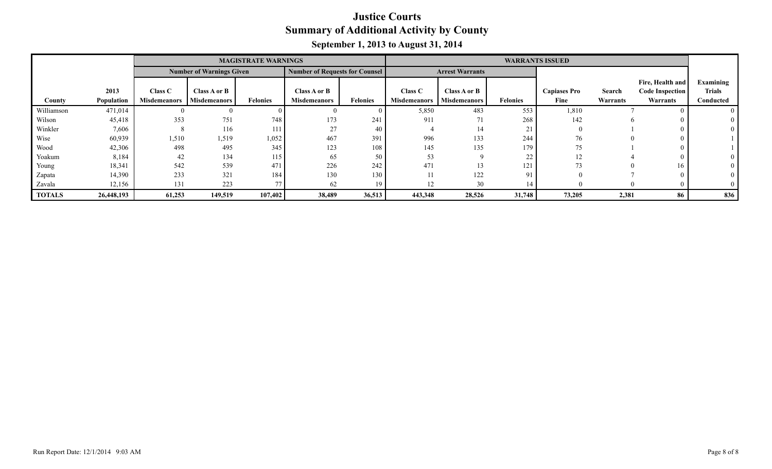|               |            |                     |                                 | <b>MAGISTRATE WARNINGS</b> |                                       |                 | <b>WARRANTS ISSUED</b> |                        |                 |                     |          |                        |               |
|---------------|------------|---------------------|---------------------------------|----------------------------|---------------------------------------|-----------------|------------------------|------------------------|-----------------|---------------------|----------|------------------------|---------------|
|               |            |                     | <b>Number of Warnings Given</b> |                            | <b>Number of Requests for Counsel</b> |                 |                        | <b>Arrest Warrants</b> |                 |                     |          |                        |               |
|               |            |                     |                                 |                            |                                       |                 |                        |                        |                 |                     |          | Fire, Health and       | Examining     |
|               | 2013       | Class C             | Class A or B                    |                            | Class A or B                          |                 | Class C                | Class A or B           |                 | <b>Capiases Pro</b> | Search   | <b>Code Inspection</b> | <b>Trials</b> |
| County        | Population | <b>Misdemeanors</b> | <b>Misdemeanors</b>             | <b>Felonies</b>            | <b>Misdemeanors</b>                   | <b>Felonies</b> | <b>Misdemeanors</b>    | <b>Misdemeanors</b>    | <b>Felonies</b> | Fine                | Warrants | Warrants               | Conducted     |
| Williamson    | 471,014    |                     | ,,                              |                            |                                       |                 | 5,850                  | 483                    | 553             | 1,810               |          |                        |               |
| Wilson        | 45,418     | 353                 | 751                             | 748                        | 173                                   | 241             | 911                    | 71                     | 268             | 142                 |          |                        |               |
| Winkler       | 7,606      |                     | 116                             | 111                        | 27                                    | 40              |                        | 14                     | 21<br>$\sim$ 1  |                     |          |                        |               |
| Wise          | 60,939     | 1,510               | 1,519                           | 1,052                      | 467                                   | 391             | 996                    | 133                    | 244             | 76                  |          |                        |               |
| Wood          | 42,306     | 498                 | 495                             | 345                        | 123                                   | 108             | 145                    | 135                    | 179             | 75                  |          |                        |               |
| Yoakum        | 8,184      | 42                  | 134                             | 115                        | 65                                    | 50              | 53                     |                        | 22              | 12                  |          |                        |               |
| Young         | 18,341     | 542                 | 539                             | 471                        | 226                                   | 242             | 471                    |                        | 121             | 73                  |          | 16                     |               |
| Zapata        | 14,390     | 233                 | 321                             | 184                        | 130                                   | 130             |                        | 122                    | 91              |                     |          |                        |               |
| Zavala        | 12,156     | 131                 | 223                             | 77                         | 62                                    | 19              | 12                     | 30                     |                 |                     |          |                        |               |
| <b>TOTALS</b> | 26,448,193 | 61,253              | 149,519                         | 107,402                    | 38,489                                | 36,513          | 443,348                | 28,526                 | 31,748          | 73,205              | 2,381    | 86                     | 836           |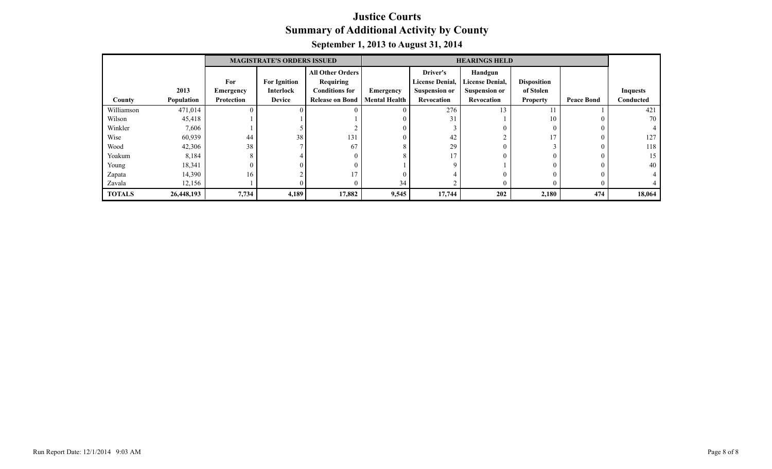|               |            |                   | <b>MAGISTRATE'S ORDERS ISSUED</b> |                         |                      |                        | <b>HEARINGS HELD</b>   |                    |                   |                 |
|---------------|------------|-------------------|-----------------------------------|-------------------------|----------------------|------------------------|------------------------|--------------------|-------------------|-----------------|
|               |            |                   |                                   | <b>All Other Orders</b> |                      | Driver's               | Handgun                |                    |                   |                 |
|               |            | For               | <b>For Ignition</b>               | Requiring               |                      | <b>License Denial,</b> | <b>License Denial,</b> | <b>Disposition</b> |                   |                 |
|               | 2013       | <b>Emergency</b>  | Interlock                         | <b>Conditions for</b>   | Emergency            | <b>Suspension or</b>   | <b>Suspension or</b>   | of Stolen          |                   | <b>Inquests</b> |
| County        | Population | <b>Protection</b> | <b>Device</b>                     | <b>Release on Bond</b>  | <b>Mental Health</b> | <b>Revocation</b>      | Revocation             | <b>Property</b>    | <b>Peace Bond</b> | Conducted       |
| Williamson    | 471,014    |                   |                                   | $\theta$                | $\Omega$             | 276                    | 13                     |                    |                   | 421             |
| Wilson        | 45,418     |                   |                                   |                         |                      | 31                     |                        | 10                 |                   | 70              |
| Winkler       | 7,606      |                   |                                   |                         | $\theta$             |                        |                        | $\Omega$           |                   |                 |
| Wise          | 60,939     | 44                | 38                                | 131                     |                      | 42                     |                        | 17                 |                   | 127             |
| Wood          | 42,306     | 38                |                                   | 67                      |                      | 29                     |                        |                    |                   | 118             |
| Yoakum        | 8,184      | 8                 |                                   | $\mathbf{0}$            |                      | 17                     |                        | $\theta$           |                   | 15              |
| Young         | 18,341     |                   |                                   | $\Omega$                |                      |                        |                        | $\Omega$           |                   | 40              |
| Zapata        | 14,390     | 16                |                                   | 17                      | $\theta$             |                        |                        | $\theta$           |                   |                 |
| Zavala        | 12,156     |                   |                                   | $\mathbf{0}$            | 34                   |                        |                        | $\theta$           |                   |                 |
| <b>TOTALS</b> | 26,448,193 | 7,734             | 4,189                             | 17,882                  | 9,545                | 17,744                 | 202                    | 2,180              | 474               | 18,064          |